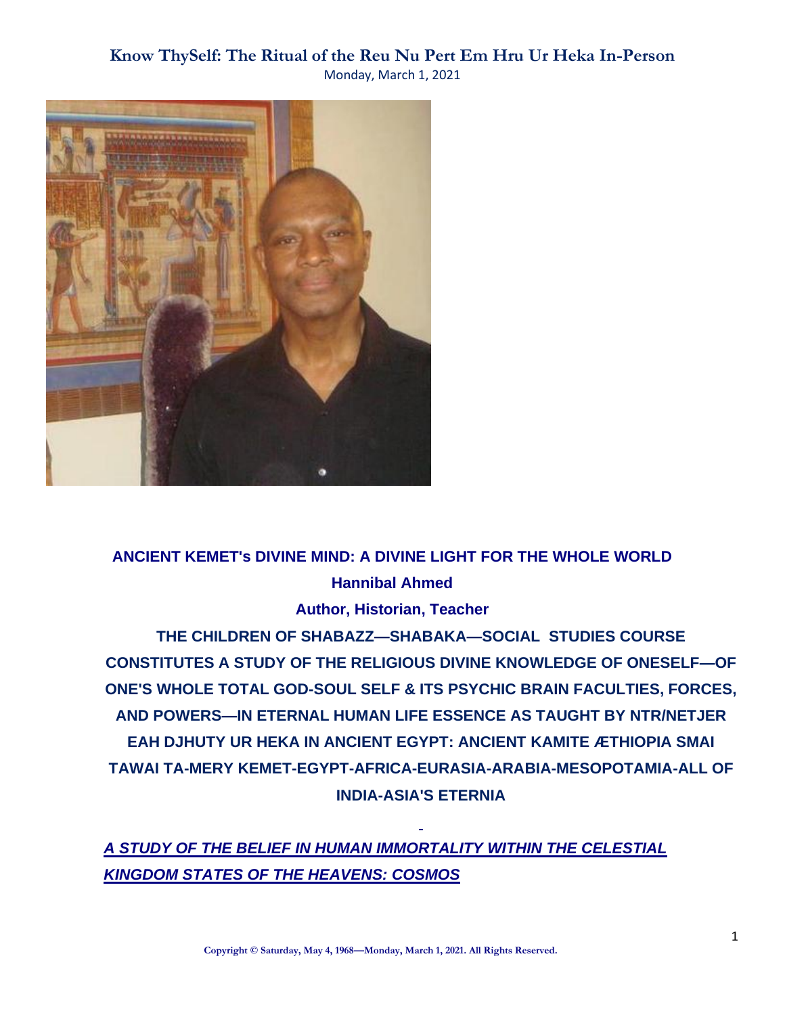

# **ANCIENT KEMET's DIVINE MIND: A DIVINE LIGHT FOR THE WHOLE WORLD Hannibal Ahmed**

### **Author, Historian, Teacher**

**THE CHILDREN OF SHABAZZ—SHABAKA—SOCIAL STUDIES COURSE CONSTITUTES A STUDY OF THE RELIGIOUS DIVINE KNOWLEDGE OF ONESELF—OF ONE'S WHOLE TOTAL GOD-SOUL SELF & ITS PSYCHIC BRAIN FACULTIES, FORCES, AND POWERS—IN ETERNAL HUMAN LIFE ESSENCE AS TAUGHT BY NTR/NETJER EAH DJHUTY UR HEKA IN ANCIENT EGYPT: ANCIENT KAMITE ÆTHIOPIA SMAI TAWAI TA-MERY KEMET-EGYPT-AFRICA-EURASIA-ARABIA-MESOPOTAMIA-ALL OF INDIA-ASIA'S ETERNIA**

*A STUDY OF THE BELIEF IN HUMAN IMMORTALITY WITHIN THE CELESTIAL KINGDOM STATES OF THE HEAVENS: COSMOS*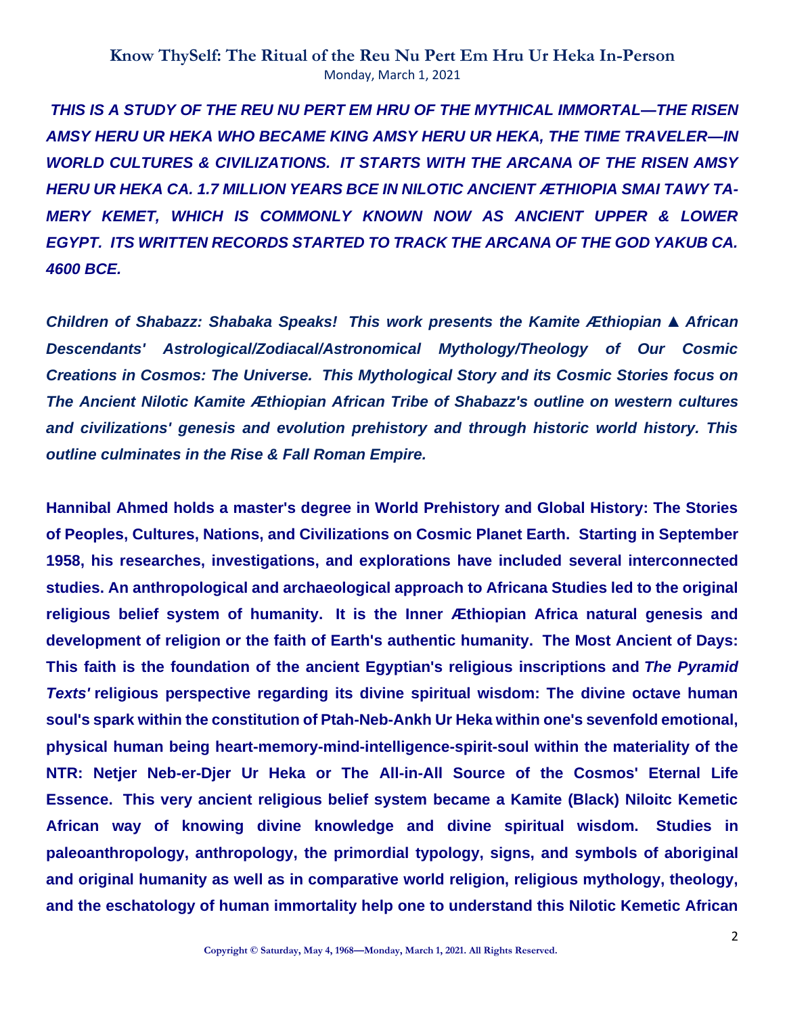*THIS IS A STUDY OF THE REU NU PERT EM HRU OF THE MYTHICAL IMMORTAL—THE RISEN AMSY HERU UR HEKA WHO BECAME KING AMSY HERU UR HEKA, THE TIME TRAVELER—IN WORLD CULTURES & CIVILIZATIONS. IT STARTS WITH THE ARCANA OF THE RISEN AMSY HERU UR HEKA CA. 1.7 MILLION YEARS BCE IN NILOTIC ANCIENT ÆTHIOPIA SMAI TAWY TA-MERY KEMET, WHICH IS COMMONLY KNOWN NOW AS ANCIENT UPPER & LOWER EGYPT. ITS WRITTEN RECORDS STARTED TO TRACK THE ARCANA OF THE GOD YAKUB CA. 4600 BCE.*

*Children of Shabazz: Shabaka Speaks! This work presents the Kamite Æthiopian* **▲** *African Descendants' Astrological/Zodiacal/Astronomical Mythology/Theology of Our Cosmic Creations in Cosmos: The Universe. This Mythological Story and its Cosmic Stories focus on The Ancient Nilotic Kamite Æthiopian African Tribe of Shabazz's outline on western cultures and civilizations' genesis and evolution prehistory and through historic world history. This outline culminates in the Rise & Fall Roman Empire.*

**Hannibal Ahmed holds a master's degree in World Prehistory and Global History: The Stories of Peoples, Cultures, Nations, and Civilizations on Cosmic Planet Earth. Starting in September 1958, his researches, investigations, and explorations have included several interconnected studies. An anthropological and archaeological approach to Africana Studies led to the original religious belief system of humanity. It is the Inner Æthiopian Africa natural genesis and development of religion or the faith of Earth's authentic humanity. The Most Ancient of Days: This faith is the foundation of the ancient Egyptian's religious inscriptions and** *The Pyramid Texts'* **religious perspective regarding its divine spiritual wisdom: The divine octave human soul's spark within the constitution of Ptah-Neb-Ankh Ur Heka within one's sevenfold emotional, physical human being heart-memory-mind-intelligence-spirit-soul within the materiality of the NTR: Netjer Neb-er-Djer Ur Heka or The All-in-All Source of the Cosmos' Eternal Life Essence. This very ancient religious belief system became a Kamite (Black) Niloitc Kemetic African way of knowing divine knowledge and divine spiritual wisdom. Studies in paleoanthropology, anthropology, the primordial typology, signs, and symbols of aboriginal and original humanity as well as in comparative world religion, religious mythology, theology, and the eschatology of human immortality help one to understand this Nilotic Kemetic African**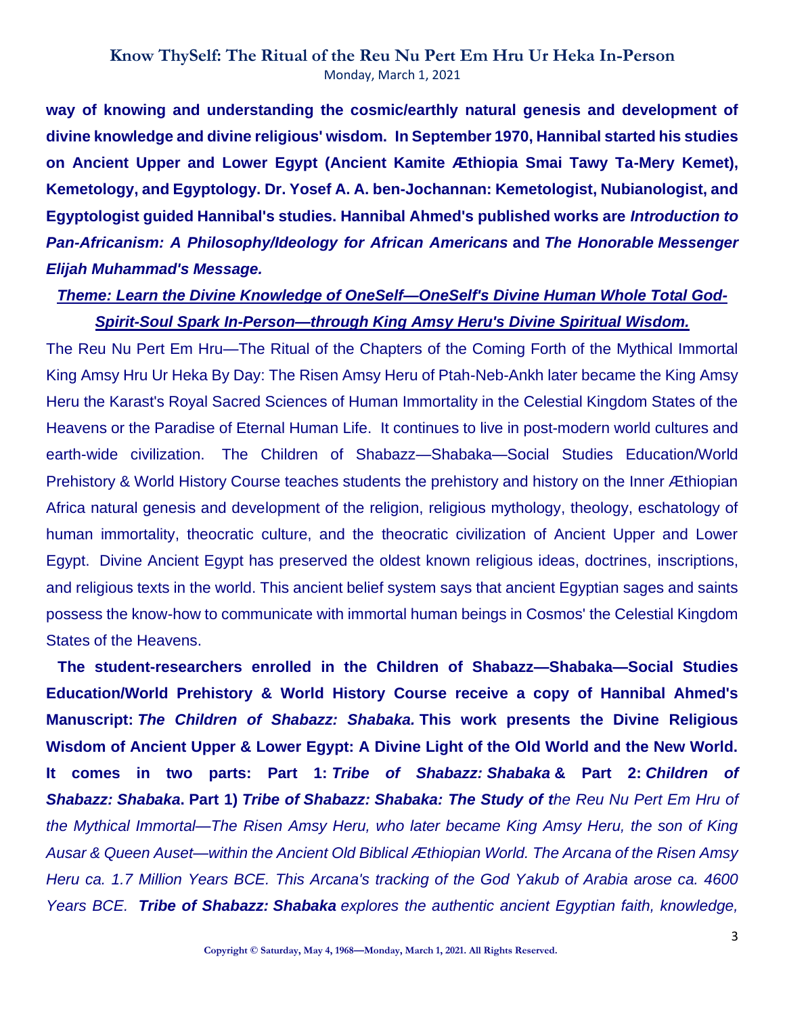**way of knowing and understanding the cosmic/earthly natural genesis and development of divine knowledge and divine religious' wisdom. In September 1970, Hannibal started his studies on Ancient Upper and Lower Egypt (Ancient Kamite Æthiopia Smai Tawy Ta-Mery Kemet), Kemetology, and Egyptology. Dr. Yosef A. A. ben-Jochannan: Kemetologist, Nubianologist, and Egyptologist guided Hannibal's studies. Hannibal Ahmed's published works are** *Introduction to Pan-Africanism: A Philosophy/Ideology for African Americans* **and** *The Honorable Messenger Elijah Muhammad's Message.*

### *Theme: Learn the Divine Knowledge of OneSelf—OneSelf's Divine Human Whole Total God-Spirit-Soul Spark In-Person—through King Amsy Heru's Divine Spiritual Wisdom.*

The Reu Nu Pert Em Hru—The Ritual of the Chapters of the Coming Forth of the Mythical Immortal King Amsy Hru Ur Heka By Day: The Risen Amsy Heru of Ptah-Neb-Ankh later became the King Amsy Heru the Karast's Royal Sacred Sciences of Human Immortality in the Celestial Kingdom States of the Heavens or the Paradise of Eternal Human Life. It continues to live in post-modern world cultures and earth-wide civilization. The Children of Shabazz—Shabaka—Social Studies Education/World Prehistory & World History Course teaches students the prehistory and history on the Inner Æthiopian Africa natural genesis and development of the religion, religious mythology, theology, eschatology of human immortality, theocratic culture, and the theocratic civilization of Ancient Upper and Lower Egypt. Divine Ancient Egypt has preserved the oldest known religious ideas, doctrines, inscriptions, and religious texts in the world. This ancient belief system says that ancient Egyptian sages and saints possess the know-how to communicate with immortal human beings in Cosmos' the Celestial Kingdom States of the Heavens.

**The student-researchers enrolled in the Children of Shabazz—Shabaka—Social Studies Education/World Prehistory & World History Course receive a copy of Hannibal Ahmed's Manuscript:** *The Children of Shabazz: Shabaka.* **This work presents the Divine Religious Wisdom of Ancient Upper & Lower Egypt: A Divine Light of the Old World and the New World. It comes in two parts: Part 1:** *Tribe of Shabazz: Shabaka* **& Part 2:** *Children of Shabazz: Shabaka***. Part 1)** *Tribe of Shabazz: Shabaka: The Study of the Reu Nu Pert Em Hru of the Mythical Immortal—The Risen Amsy Heru, who later became King Amsy Heru, the son of King Ausar & Queen Auset—within the Ancient Old Biblical Æthiopian World. The Arcana of the Risen Amsy Heru ca. 1.7 Million Years BCE. This Arcana's tracking of the God Yakub of Arabia arose ca. 4600 Years BCE. Tribe of Shabazz: Shabaka explores the authentic ancient Egyptian faith, knowledge,*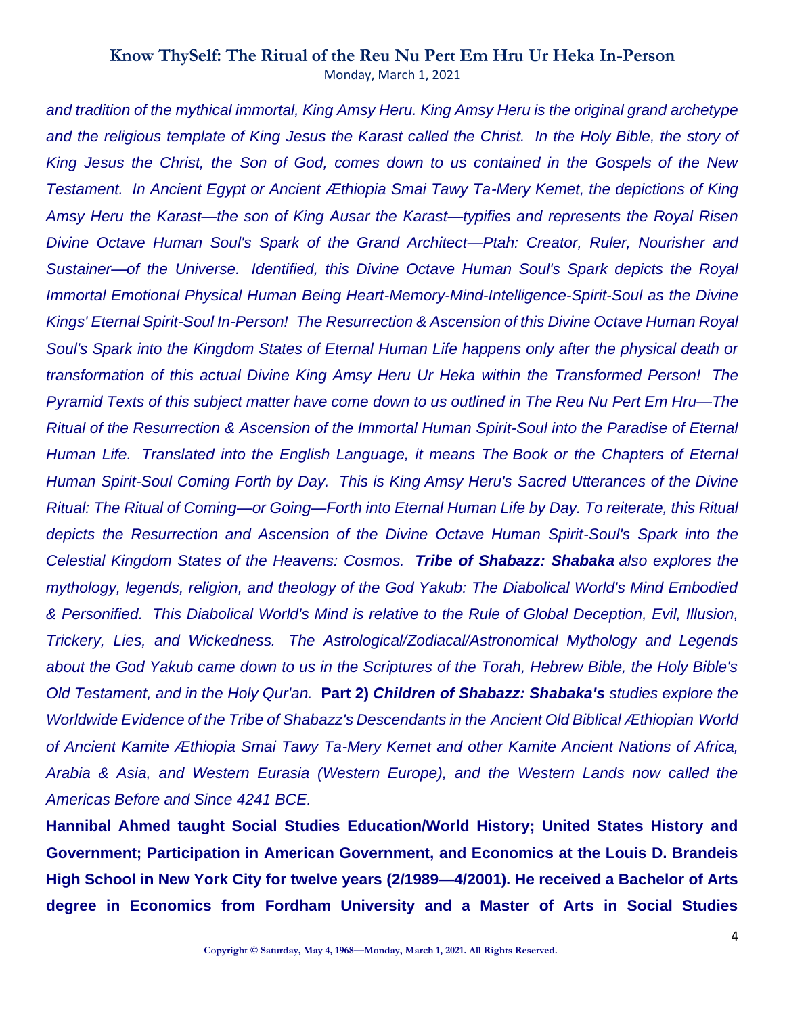*and tradition of the mythical immortal, King Amsy Heru. King Amsy Heru is the original grand archetype and the religious template of King Jesus the Karast called the Christ. In the Holy Bible, the story of King Jesus the Christ, the Son of God, comes down to us contained in the Gospels of the New Testament. In Ancient Egypt or Ancient Æthiopia Smai Tawy Ta-Mery Kemet, the depictions of King Amsy Heru the Karast—the son of King Ausar the Karast—typifies and represents the Royal Risen Divine Octave Human Soul's Spark of the Grand Architect—Ptah: Creator, Ruler, Nourisher and Sustainer—of the Universe. Identified, this Divine Octave Human Soul's Spark depicts the Royal Immortal Emotional Physical Human Being Heart-Memory-Mind-Intelligence-Spirit-Soul as the Divine Kings' Eternal Spirit-Soul In-Person! The Resurrection & Ascension of this Divine Octave Human Royal Soul's Spark into the Kingdom States of Eternal Human Life happens only after the physical death or transformation of this actual Divine King Amsy Heru Ur Heka within the Transformed Person! The Pyramid Texts of this subject matter have come down to us outlined in The Reu Nu Pert Em Hru—The Ritual of the Resurrection & Ascension of the Immortal Human Spirit-Soul into the Paradise of Eternal Human Life. Translated into the English Language, it means The Book or the Chapters of Eternal Human Spirit-Soul Coming Forth by Day. This is King Amsy Heru's Sacred Utterances of the Divine Ritual: The Ritual of Coming—or Going—Forth into Eternal Human Life by Day. To reiterate, this Ritual depicts the Resurrection and Ascension of the Divine Octave Human Spirit-Soul's Spark into the Celestial Kingdom States of the Heavens: Cosmos. Tribe of Shabazz: Shabaka also explores the mythology, legends, religion, and theology of the God Yakub: The Diabolical World's Mind Embodied & Personified. This Diabolical World's Mind is relative to the Rule of Global Deception, Evil, Illusion, Trickery, Lies, and Wickedness. The Astrological/Zodiacal/Astronomical Mythology and Legends about the God Yakub came down to us in the Scriptures of the Torah, Hebrew Bible, the Holy Bible's Old Testament, and in the Holy Qur'an.* **Part 2)** *Children of Shabazz: Shabaka's studies explore the Worldwide Evidence of the Tribe of Shabazz's Descendants in the Ancient Old Biblical Æthiopian World of Ancient Kamite Æthiopia Smai Tawy Ta-Mery Kemet and other Kamite Ancient Nations of Africa, Arabia & Asia, and Western Eurasia (Western Europe), and the Western Lands now called the Americas Before and Since 4241 BCE.*

**Hannibal Ahmed taught Social Studies Education/World History; United States History and Government; Participation in American Government, and Economics at the Louis D. Brandeis High School in New York City for twelve years (2/1989—4/2001). He received a Bachelor of Arts degree in Economics from Fordham University and a Master of Arts in Social Studies**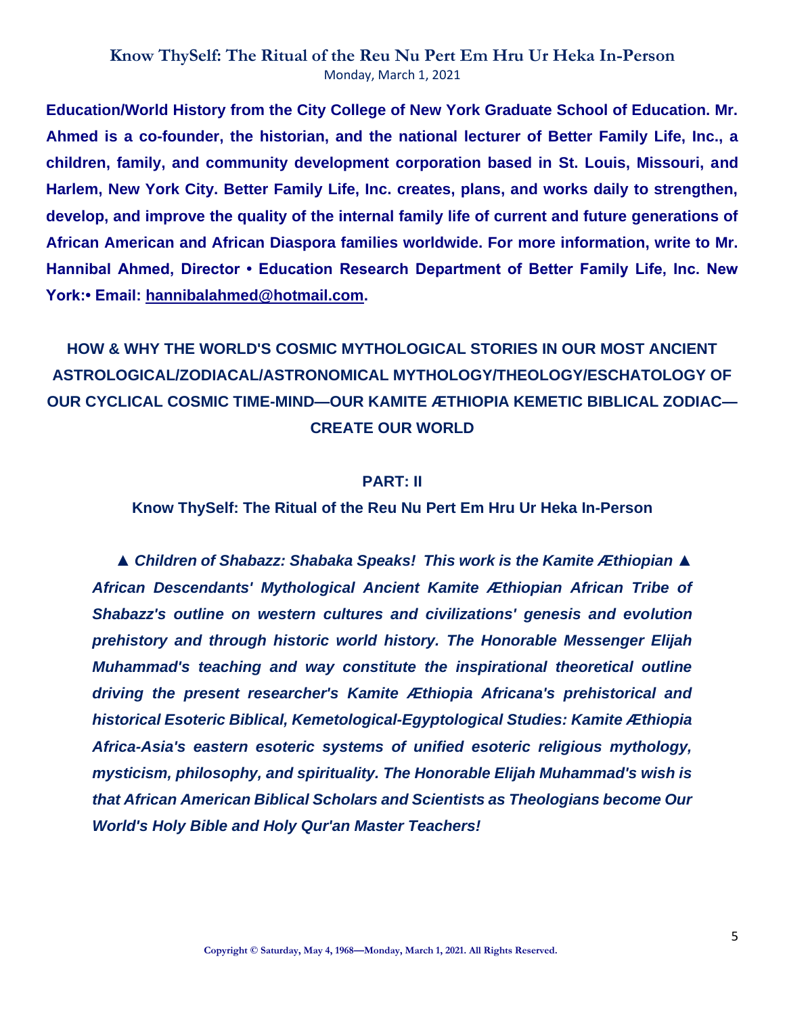**Education/World History from the City College of New York Graduate School of Education. Mr. Ahmed is a co-founder, the historian, and the national lecturer of Better Family Life, Inc., a children, family, and community development corporation based in St. Louis, Missouri, and Harlem, New York City. Better Family Life, Inc. creates, plans, and works daily to strengthen, develop, and improve the quality of the internal family life of current and future generations of African American and African Diaspora families worldwide. For more information, write to Mr. Hannibal Ahmed, Director • Education Research Department of Better Family Life, Inc. New York:• Email: [hannibalahmed@hotmail.com.](mailto:hannibalahmed@hotmail.com)**

**HOW & WHY THE WORLD'S COSMIC MYTHOLOGICAL STORIES IN OUR MOST ANCIENT ASTROLOGICAL/ZODIACAL/ASTRONOMICAL MYTHOLOGY/THEOLOGY/ESCHATOLOGY OF OUR CYCLICAL COSMIC TIME-MIND—OUR KAMITE ÆTHIOPIA KEMETIC BIBLICAL ZODIAC— CREATE OUR WORLD**

### **PART: II**

**Know ThySelf: The Ritual of the Reu Nu Pert Em Hru Ur Heka In-Person**

**▲** *Children of Shabazz: Shabaka Speaks! This work is the Kamite Æthiopian* **▲**  *African Descendants' Mythological Ancient Kamite Æthiopian African Tribe of Shabazz's outline on western cultures and civilizations' genesis and evolution prehistory and through historic world history. The Honorable Messenger Elijah Muhammad's teaching and way constitute the inspirational theoretical outline driving the present researcher's Kamite Æthiopia Africana's prehistorical and historical Esoteric Biblical, Kemetological-Egyptological Studies: Kamite Æthiopia Africa-Asia's eastern esoteric systems of unified esoteric religious mythology, mysticism, philosophy, and spirituality. The Honorable Elijah Muhammad's wish is that African American Biblical Scholars and Scientists as Theologians become Our World's Holy Bible and Holy Qur'an Master Teachers!*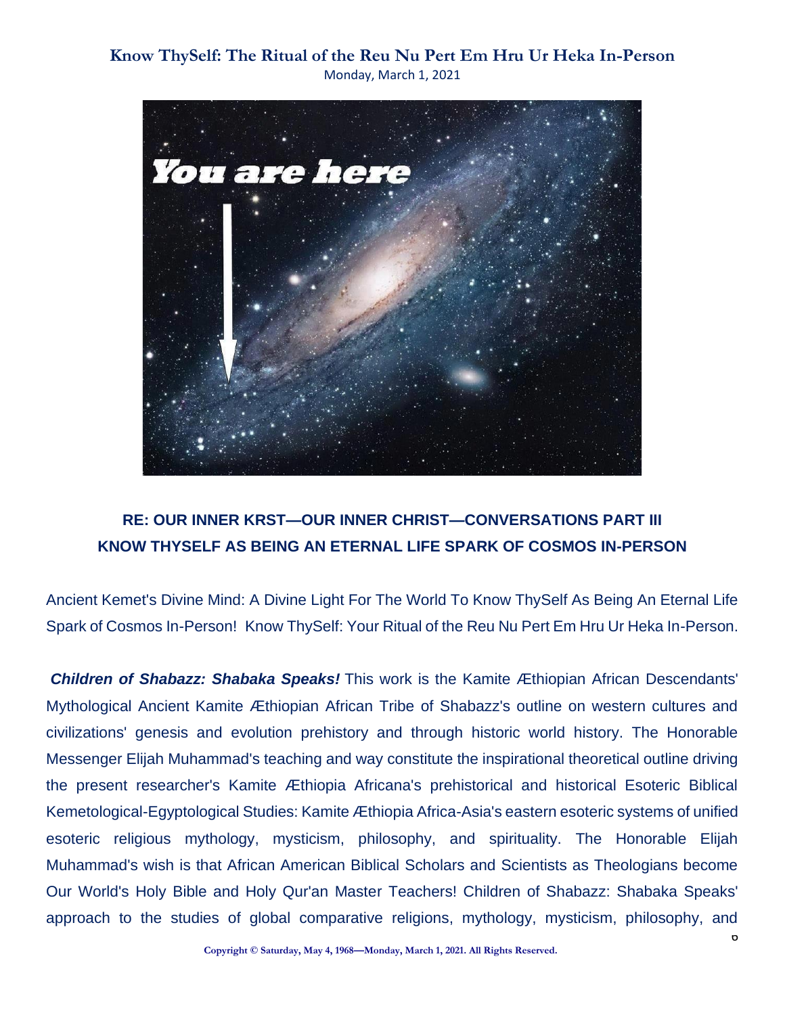

## **RE: OUR INNER KRST—OUR INNER CHRIST—CONVERSATIONS PART III KNOW THYSELF AS BEING AN ETERNAL LIFE SPARK OF COSMOS IN-PERSON**

Ancient Kemet's Divine Mind: A Divine Light For The World To Know ThySelf As Being An Eternal Life Spark of Cosmos In-Person! Know ThySelf: Your Ritual of the Reu Nu Pert Em Hru Ur Heka In-Person.

*Children of Shabazz: Shabaka Speaks!* This work is the Kamite Æthiopian African Descendants' Mythological Ancient Kamite Æthiopian African Tribe of Shabazz's outline on western cultures and civilizations' genesis and evolution prehistory and through historic world history. The Honorable Messenger Elijah Muhammad's teaching and way constitute the inspirational theoretical outline driving the present researcher's Kamite Æthiopia Africana's prehistorical and historical Esoteric Biblical Kemetological-Egyptological Studies: Kamite Æthiopia Africa-Asia's eastern esoteric systems of unified esoteric religious mythology, mysticism, philosophy, and spirituality. The Honorable Elijah Muhammad's wish is that African American Biblical Scholars and Scientists as Theologians become Our World's Holy Bible and Holy Qur'an Master Teachers! Children of Shabazz: Shabaka Speaks' approach to the studies of global comparative religions, mythology, mysticism, philosophy, and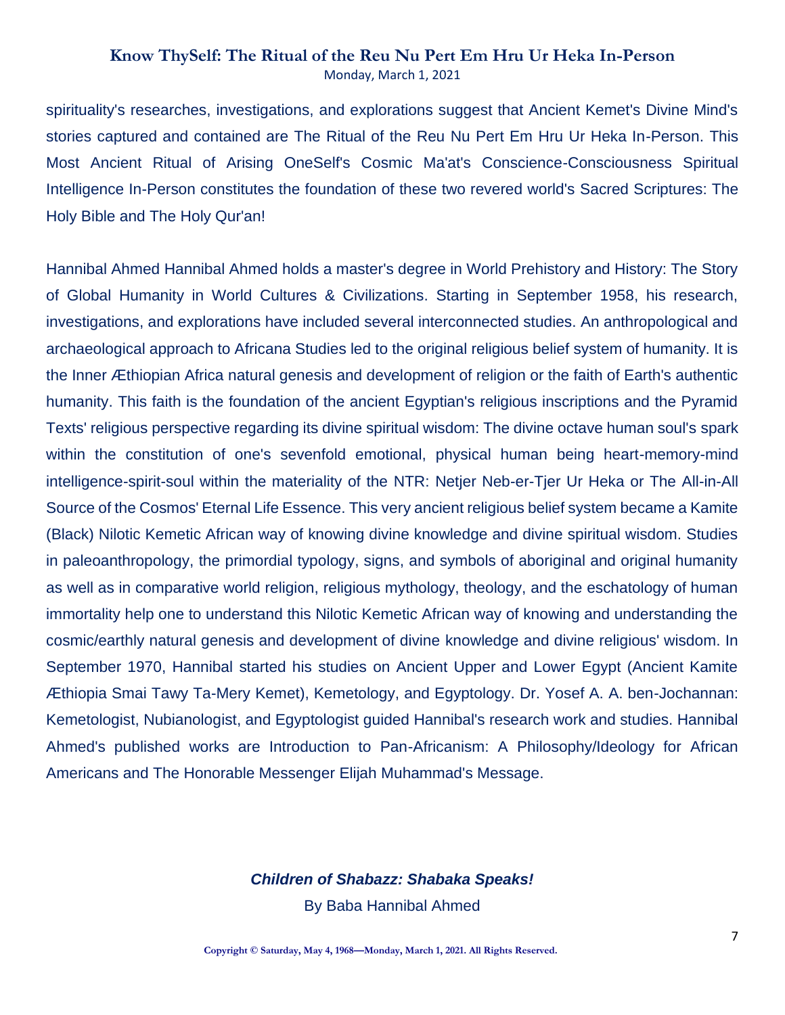spirituality's researches, investigations, and explorations suggest that Ancient Kemet's Divine Mind's stories captured and contained are The Ritual of the Reu Nu Pert Em Hru Ur Heka In-Person. This Most Ancient Ritual of Arising OneSelf's Cosmic Ma'at's Conscience-Consciousness Spiritual Intelligence In-Person constitutes the foundation of these two revered world's Sacred Scriptures: The Holy Bible and The Holy Qur'an!

Hannibal Ahmed Hannibal Ahmed holds a master's degree in World Prehistory and History: The Story of Global Humanity in World Cultures & Civilizations. Starting in September 1958, his research, investigations, and explorations have included several interconnected studies. An anthropological and archaeological approach to Africana Studies led to the original religious belief system of humanity. It is the Inner Æthiopian Africa natural genesis and development of religion or the faith of Earth's authentic humanity. This faith is the foundation of the ancient Egyptian's religious inscriptions and the Pyramid Texts' religious perspective regarding its divine spiritual wisdom: The divine octave human soul's spark within the constitution of one's sevenfold emotional, physical human being heart-memory-mind intelligence-spirit-soul within the materiality of the NTR: Netjer Neb-er-Tjer Ur Heka or The All-in-All Source of the Cosmos' Eternal Life Essence. This very ancient religious belief system became a Kamite (Black) Nilotic Kemetic African way of knowing divine knowledge and divine spiritual wisdom. Studies in paleoanthropology, the primordial typology, signs, and symbols of aboriginal and original humanity as well as in comparative world religion, religious mythology, theology, and the eschatology of human immortality help one to understand this Nilotic Kemetic African way of knowing and understanding the cosmic/earthly natural genesis and development of divine knowledge and divine religious' wisdom. In September 1970, Hannibal started his studies on Ancient Upper and Lower Egypt (Ancient Kamite Æthiopia Smai Tawy Ta-Mery Kemet), Kemetology, and Egyptology. Dr. Yosef A. A. ben-Jochannan: Kemetologist, Nubianologist, and Egyptologist guided Hannibal's research work and studies. Hannibal Ahmed's published works are Introduction to Pan-Africanism: A Philosophy/Ideology for African Americans and The Honorable Messenger Elijah Muhammad's Message.

#### *Children of Shabazz: Shabaka Speaks!*

By Baba Hannibal Ahmed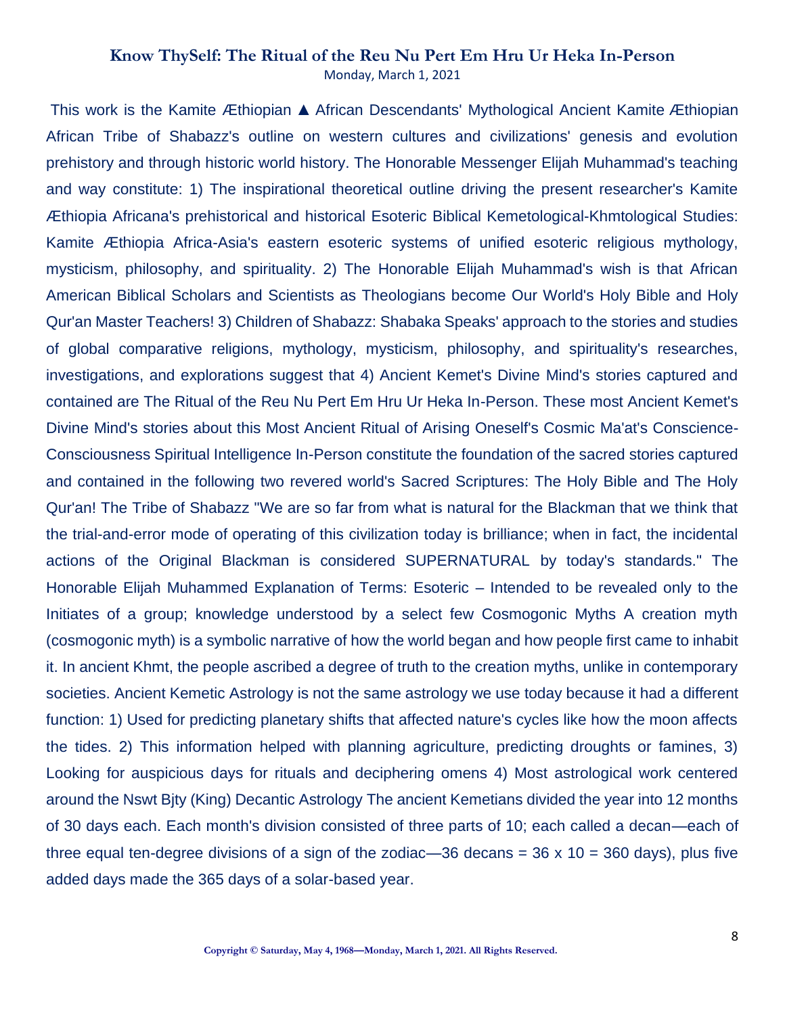This work is the Kamite Æthiopian ▲ African Descendants' Mythological Ancient Kamite Æthiopian African Tribe of Shabazz's outline on western cultures and civilizations' genesis and evolution prehistory and through historic world history. The Honorable Messenger Elijah Muhammad's teaching and way constitute: 1) The inspirational theoretical outline driving the present researcher's Kamite Æthiopia Africana's prehistorical and historical Esoteric Biblical Kemetological-Khmtological Studies: Kamite Æthiopia Africa-Asia's eastern esoteric systems of unified esoteric religious mythology, mysticism, philosophy, and spirituality. 2) The Honorable Elijah Muhammad's wish is that African American Biblical Scholars and Scientists as Theologians become Our World's Holy Bible and Holy Qur'an Master Teachers! 3) Children of Shabazz: Shabaka Speaks' approach to the stories and studies of global comparative religions, mythology, mysticism, philosophy, and spirituality's researches, investigations, and explorations suggest that 4) Ancient Kemet's Divine Mind's stories captured and contained are The Ritual of the Reu Nu Pert Em Hru Ur Heka In-Person. These most Ancient Kemet's Divine Mind's stories about this Most Ancient Ritual of Arising Oneself's Cosmic Ma'at's Conscience-Consciousness Spiritual Intelligence In-Person constitute the foundation of the sacred stories captured and contained in the following two revered world's Sacred Scriptures: The Holy Bible and The Holy Qur'an! The Tribe of Shabazz "We are so far from what is natural for the Blackman that we think that the trial-and-error mode of operating of this civilization today is brilliance; when in fact, the incidental actions of the Original Blackman is considered SUPERNATURAL by today's standards." The Honorable Elijah Muhammed Explanation of Terms: Esoteric – Intended to be revealed only to the Initiates of a group; knowledge understood by a select few Cosmogonic Myths A creation myth (cosmogonic myth) is a symbolic narrative of how the world began and how people first came to inhabit it. In ancient Khmt, the people ascribed a degree of truth to the creation myths, unlike in contemporary societies. Ancient Kemetic Astrology is not the same astrology we use today because it had a different function: 1) Used for predicting planetary shifts that affected nature's cycles like how the moon affects the tides. 2) This information helped with planning agriculture, predicting droughts or famines, 3) Looking for auspicious days for rituals and deciphering omens 4) Most astrological work centered around the Nswt Bjty (King) Decantic Astrology The ancient Kemetians divided the year into 12 months of 30 days each. Each month's division consisted of three parts of 10; each called a decan—each of three equal ten-degree divisions of a sign of the zodiac—36 decans =  $36 \times 10 = 360$  days), plus five added days made the 365 days of a solar-based year.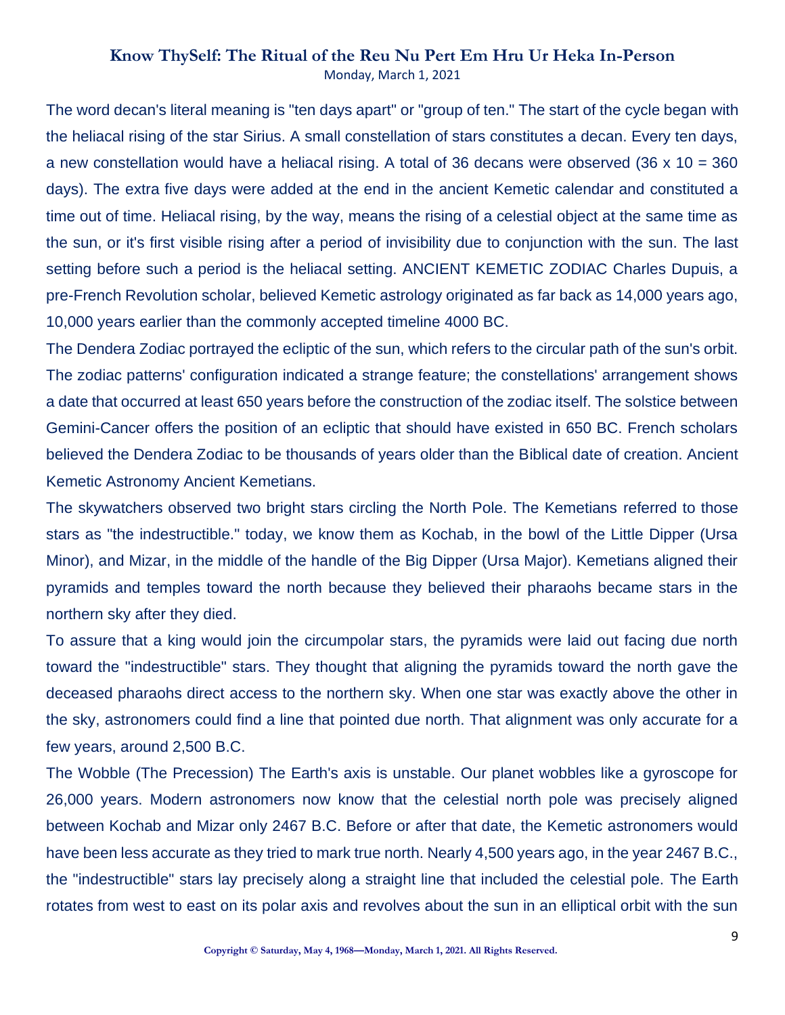The word decan's literal meaning is "ten days apart" or "group of ten." The start of the cycle began with the heliacal rising of the star Sirius. A small constellation of stars constitutes a decan. Every ten days, a new constellation would have a heliacal rising. A total of 36 decans were observed (36 x 10 = 360 days). The extra five days were added at the end in the ancient Kemetic calendar and constituted a time out of time. Heliacal rising, by the way, means the rising of a celestial object at the same time as the sun, or it's first visible rising after a period of invisibility due to conjunction with the sun. The last setting before such a period is the heliacal setting. ANCIENT KEMETIC ZODIAC Charles Dupuis, a pre-French Revolution scholar, believed Kemetic astrology originated as far back as 14,000 years ago, 10,000 years earlier than the commonly accepted timeline 4000 BC.

The Dendera Zodiac portrayed the ecliptic of the sun, which refers to the circular path of the sun's orbit. The zodiac patterns' configuration indicated a strange feature; the constellations' arrangement shows a date that occurred at least 650 years before the construction of the zodiac itself. The solstice between Gemini-Cancer offers the position of an ecliptic that should have existed in 650 BC. French scholars believed the Dendera Zodiac to be thousands of years older than the Biblical date of creation. Ancient Kemetic Astronomy Ancient Kemetians.

The skywatchers observed two bright stars circling the North Pole. The Kemetians referred to those stars as "the indestructible." today, we know them as Kochab, in the bowl of the Little Dipper (Ursa Minor), and Mizar, in the middle of the handle of the Big Dipper (Ursa Major). Kemetians aligned their pyramids and temples toward the north because they believed their pharaohs became stars in the northern sky after they died.

To assure that a king would join the circumpolar stars, the pyramids were laid out facing due north toward the "indestructible" stars. They thought that aligning the pyramids toward the north gave the deceased pharaohs direct access to the northern sky. When one star was exactly above the other in the sky, astronomers could find a line that pointed due north. That alignment was only accurate for a few years, around 2,500 B.C.

The Wobble (The Precession) The Earth's axis is unstable. Our planet wobbles like a gyroscope for 26,000 years. Modern astronomers now know that the celestial north pole was precisely aligned between Kochab and Mizar only 2467 B.C. Before or after that date, the Kemetic astronomers would have been less accurate as they tried to mark true north. Nearly 4,500 years ago, in the year 2467 B.C., the "indestructible" stars lay precisely along a straight line that included the celestial pole. The Earth rotates from west to east on its polar axis and revolves about the sun in an elliptical orbit with the sun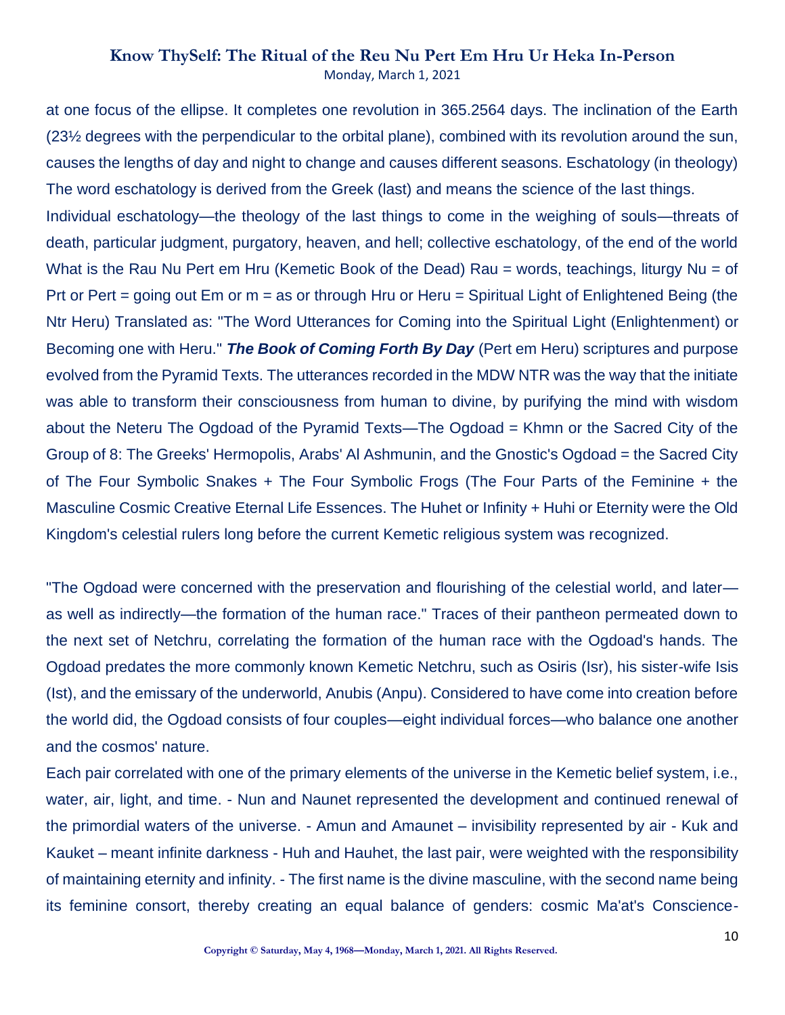at one focus of the ellipse. It completes one revolution in 365.2564 days. The inclination of the Earth (23½ degrees with the perpendicular to the orbital plane), combined with its revolution around the sun, causes the lengths of day and night to change and causes different seasons. Eschatology (in theology) The word eschatology is derived from the Greek (last) and means the science of the last things. Individual eschatology—the theology of the last things to come in the weighing of souls—threats of death, particular judgment, purgatory, heaven, and hell; collective eschatology, of the end of the world What is the Rau Nu Pert em Hru (Kemetic Book of the Dead) Rau = words, teachings, liturgy Nu = of Prt or Pert = going out Em or m = as or through Hru or Heru = Spiritual Light of Enlightened Being (the Ntr Heru) Translated as: "The Word Utterances for Coming into the Spiritual Light (Enlightenment) or Becoming one with Heru." *The Book of Coming Forth By Day* (Pert em Heru) scriptures and purpose evolved from the Pyramid Texts. The utterances recorded in the MDW NTR was the way that the initiate was able to transform their consciousness from human to divine, by purifying the mind with wisdom about the Neteru The Ogdoad of the Pyramid Texts—The Ogdoad = Khmn or the Sacred City of the Group of 8: The Greeks' Hermopolis, Arabs' Al Ashmunin, and the Gnostic's Ogdoad = the Sacred City of The Four Symbolic Snakes + The Four Symbolic Frogs (The Four Parts of the Feminine + the Masculine Cosmic Creative Eternal Life Essences. The Huhet or Infinity + Huhi or Eternity were the Old Kingdom's celestial rulers long before the current Kemetic religious system was recognized.

"The Ogdoad were concerned with the preservation and flourishing of the celestial world, and later as well as indirectly—the formation of the human race." Traces of their pantheon permeated down to the next set of Netchru, correlating the formation of the human race with the Ogdoad's hands. The Ogdoad predates the more commonly known Kemetic Netchru, such as Osiris (Isr), his sister-wife Isis (Ist), and the emissary of the underworld, Anubis (Anpu). Considered to have come into creation before the world did, the Ogdoad consists of four couples—eight individual forces—who balance one another and the cosmos' nature.

Each pair correlated with one of the primary elements of the universe in the Kemetic belief system, i.e., water, air, light, and time. - Nun and Naunet represented the development and continued renewal of the primordial waters of the universe. - Amun and Amaunet – invisibility represented by air - Kuk and Kauket – meant infinite darkness - Huh and Hauhet, the last pair, were weighted with the responsibility of maintaining eternity and infinity. - The first name is the divine masculine, with the second name being its feminine consort, thereby creating an equal balance of genders: cosmic Ma'at's Conscience-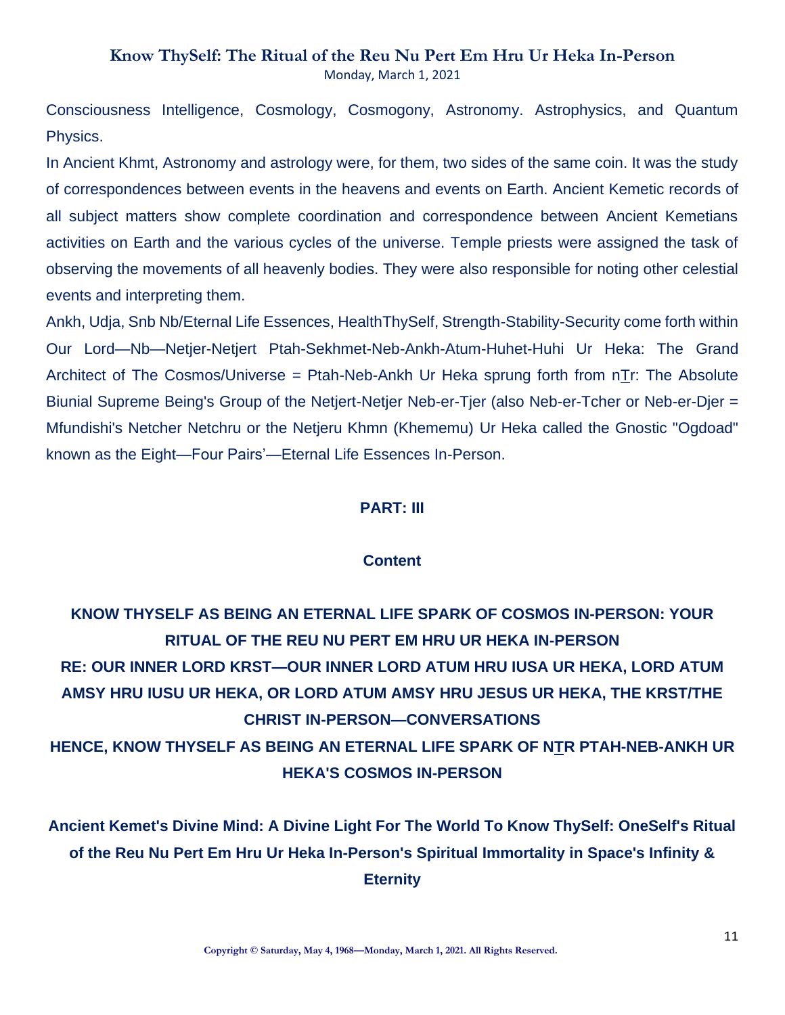Consciousness Intelligence, Cosmology, Cosmogony, Astronomy. Astrophysics, and Quantum Physics.

In Ancient Khmt, Astronomy and astrology were, for them, two sides of the same coin. It was the study of correspondences between events in the heavens and events on Earth. Ancient Kemetic records of all subject matters show complete coordination and correspondence between Ancient Kemetians activities on Earth and the various cycles of the universe. Temple priests were assigned the task of observing the movements of all heavenly bodies. They were also responsible for noting other celestial events and interpreting them.

Ankh, Udja, Snb Nb/Eternal Life Essences, HealthThySelf, Strength-Stability-Security come forth within Our Lord—Nb—Netjer-Netjert Ptah-Sekhmet-Neb-Ankh-Atum-Huhet-Huhi Ur Heka: The Grand Architect of The Cosmos/Universe = Ptah-Neb-Ankh Ur Heka sprung forth from nTr: The Absolute Biunial Supreme Being's Group of the Netjert-Netjer Neb-er-Tjer (also Neb-er-Tcher or Neb-er-Djer = Mfundishi's Netcher Netchru or the Netjeru Khmn (Khememu) Ur Heka called the Gnostic "Ogdoad" known as the Eight—Four Pairs'—Eternal Life Essences In-Person.

### **PART: III**

### **Content**

# **KNOW THYSELF AS BEING AN ETERNAL LIFE SPARK OF COSMOS IN-PERSON: YOUR RITUAL OF THE REU NU PERT EM HRU UR HEKA IN-PERSON RE: OUR INNER LORD KRST—OUR INNER LORD ATUM HRU IUSA UR HEKA, LORD ATUM AMSY HRU IUSU UR HEKA, OR LORD ATUM AMSY HRU JESUS UR HEKA, THE KRST/THE CHRIST IN-PERSON—CONVERSATIONS HENCE, KNOW THYSELF AS BEING AN ETERNAL LIFE SPARK OF NTR PTAH-NEB-ANKH UR HEKA'S COSMOS IN-PERSON**

**Ancient Kemet's Divine Mind: A Divine Light For The World To Know ThySelf: OneSelf's Ritual of the Reu Nu Pert Em Hru Ur Heka In-Person's Spiritual Immortality in Space's Infinity & Eternity**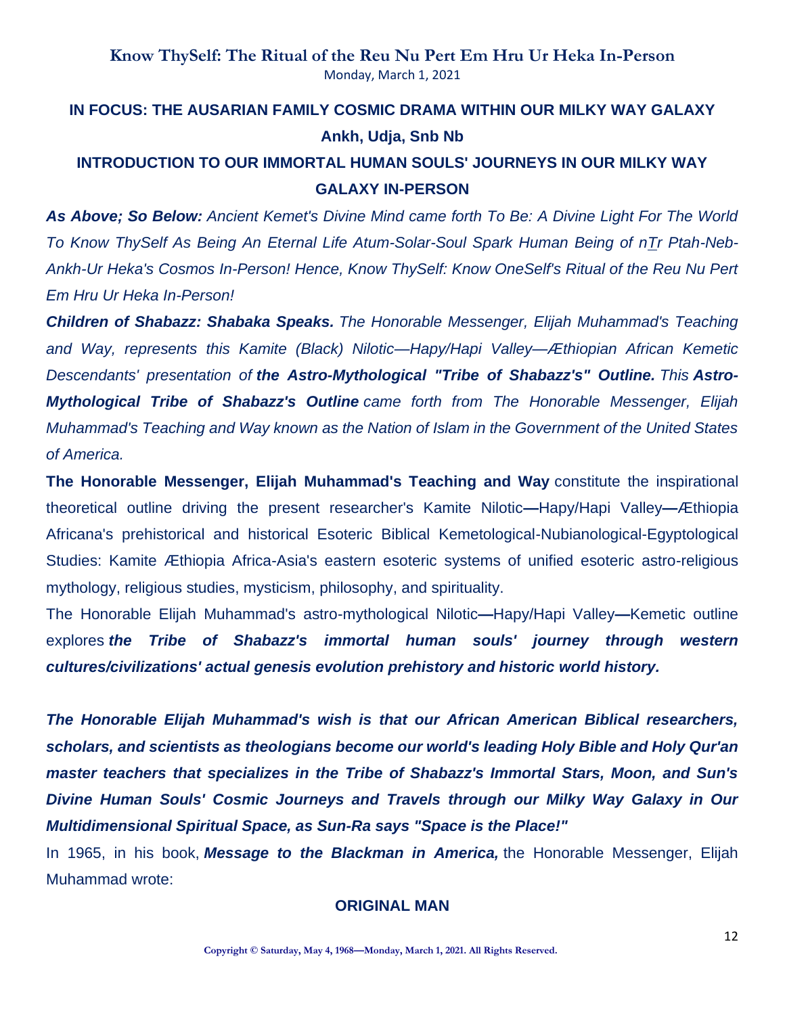# **IN FOCUS: THE AUSARIAN FAMILY COSMIC DRAMA WITHIN OUR MILKY WAY GALAXY Ankh, Udja, Snb Nb INTRODUCTION TO OUR IMMORTAL HUMAN SOULS' JOURNEYS IN OUR MILKY WAY**

**GALAXY IN-PERSON**

*As Above; So Below: Ancient Kemet's Divine Mind came forth To Be: A Divine Light For The World To Know ThySelf As Being An Eternal Life Atum-Solar-Soul Spark Human Being of nTr Ptah-Neb-Ankh-Ur Heka's Cosmos In-Person! Hence, Know ThySelf: Know OneSelf's Ritual of the Reu Nu Pert* 

### *Em Hru Ur Heka In-Person!*

*Children of Shabazz: Shabaka Speaks. The Honorable Messenger, Elijah Muhammad's Teaching and Way, represents this Kamite (Black) Nilotic—Hapy/Hapi Valley—Æthiopian African Kemetic Descendants' presentation of the Astro-Mythological "Tribe of Shabazz's" Outline. This Astro-Mythological Tribe of Shabazz's Outline came forth from The Honorable Messenger, Elijah Muhammad's Teaching and Way known as the Nation of Islam in the Government of the United States of America.*

**The Honorable Messenger, Elijah Muhammad's Teaching and Way** constitute the inspirational theoretical outline driving the present researcher's Kamite Nilotic**—**Hapy/Hapi Valley**—**Æthiopia Africana's prehistorical and historical Esoteric Biblical Kemetological-Nubianological-Egyptological Studies: Kamite Æthiopia Africa-Asia's eastern esoteric systems of unified esoteric astro-religious mythology, religious studies, mysticism, philosophy, and spirituality.

The Honorable Elijah Muhammad's astro-mythological Nilotic**—**Hapy/Hapi Valley**—**Kemetic outline explores *the Tribe of Shabazz's immortal human souls' journey through western cultures/civilizations' actual genesis evolution prehistory and historic world history.*

*The Honorable Elijah Muhammad's wish is that our African American Biblical researchers, scholars, and scientists as theologians become our world's leading Holy Bible and Holy Qur'an master teachers that specializes in the Tribe of Shabazz's Immortal Stars, Moon, and Sun's Divine Human Souls' Cosmic Journeys and Travels through our Milky Way Galaxy in Our Multidimensional Spiritual Space, as Sun-Ra says "Space is the Place!"*

In 1965, in his book, *Message to the Blackman in America,* the Honorable Messenger, Elijah Muhammad wrote:

### **ORIGINAL MAN**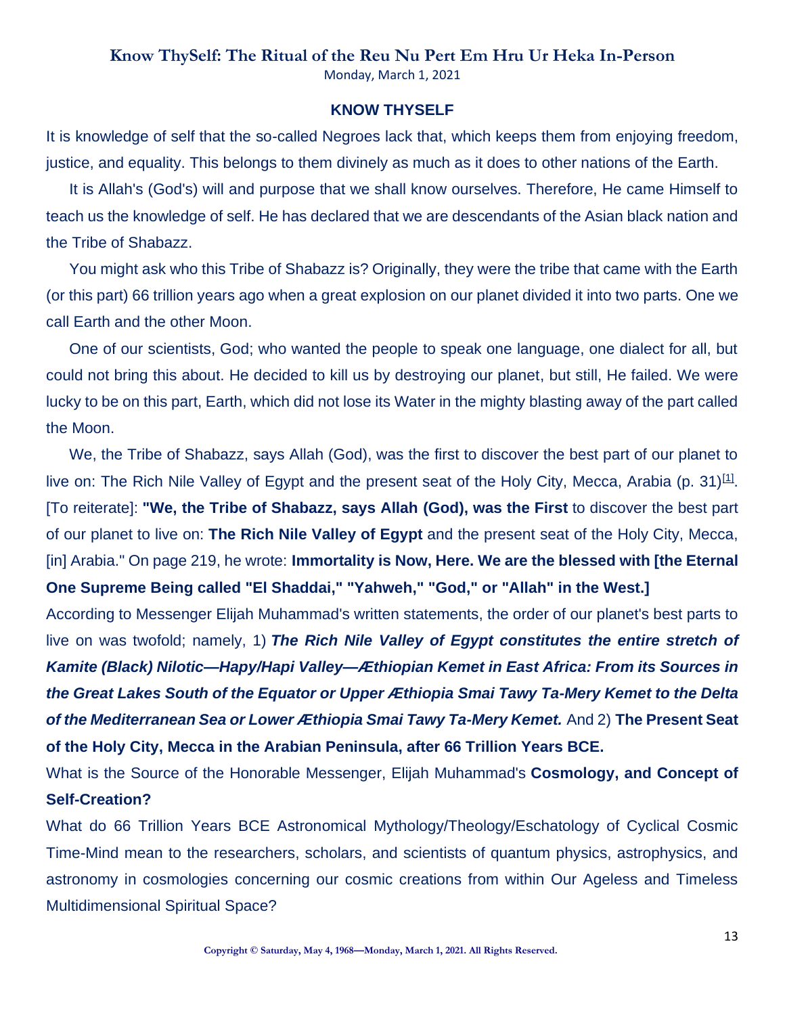Monday, March 1, 2021

### **KNOW THYSELF**

It is knowledge of self that the so-called Negroes lack that, which keeps them from enjoying freedom, justice, and equality. This belongs to them divinely as much as it does to other nations of the Earth.

It is Allah's (God's) will and purpose that we shall know ourselves. Therefore, He came Himself to teach us the knowledge of self. He has declared that we are descendants of the Asian black nation and the Tribe of Shabazz.

You might ask who this Tribe of Shabazz is? Originally, they were the tribe that came with the Earth (or this part) 66 trillion years ago when a great explosion on our planet divided it into two parts. One we call Earth and the other Moon.

One of our scientists, God; who wanted the people to speak one language, one dialect for all, but could not bring this about. He decided to kill us by destroying our planet, but still, He failed. We were lucky to be on this part, Earth, which did not lose its Water in the mighty blasting away of the part called the Moon.

We, the Tribe of Shabazz, says Allah (God), was the first to discover the best part of our planet to live on: The Rich Nile Valley of Egypt and the present seat of the Holy City, Mecca, Arabia (p. 31) $[1]$ . [To reiterate]: **"We, the Tribe of Shabazz, says Allah (God), was the First** to discover the best part of our planet to live on: **The Rich Nile Valley of Egypt** and the present seat of the Holy City, Mecca, [in] Arabia." On page 219, he wrote: **Immortality is Now, Here. We are the blessed with [the Eternal One Supreme Being called "El Shaddai," "Yahweh," "God," or "Allah" in the West.]**

According to Messenger Elijah Muhammad's written statements, the order of our planet's best parts to live on was twofold; namely, 1) *The Rich Nile Valley of Egypt constitutes the entire stretch of Kamite (Black) Nilotic—Hapy/Hapi Valley—Æthiopian Kemet in East Africa: From its Sources in the Great Lakes South of the Equator or Upper Æthiopia Smai Tawy Ta-Mery Kemet to the Delta of the Mediterranean Sea or Lower Æthiopia Smai Tawy Ta-Mery Kemet.* And 2) **The Present Seat of the Holy City, Mecca in the Arabian Peninsula, after 66 Trillion Years BCE.**

What is the Source of the Honorable Messenger, Elijah Muhammad's **Cosmology, and Concept of Self-Creation?**

What do 66 Trillion Years BCE Astronomical Mythology/Theology/Eschatology of Cyclical Cosmic Time-Mind mean to the researchers, scholars, and scientists of quantum physics, astrophysics, and astronomy in cosmologies concerning our cosmic creations from within Our Ageless and Timeless Multidimensional Spiritual Space?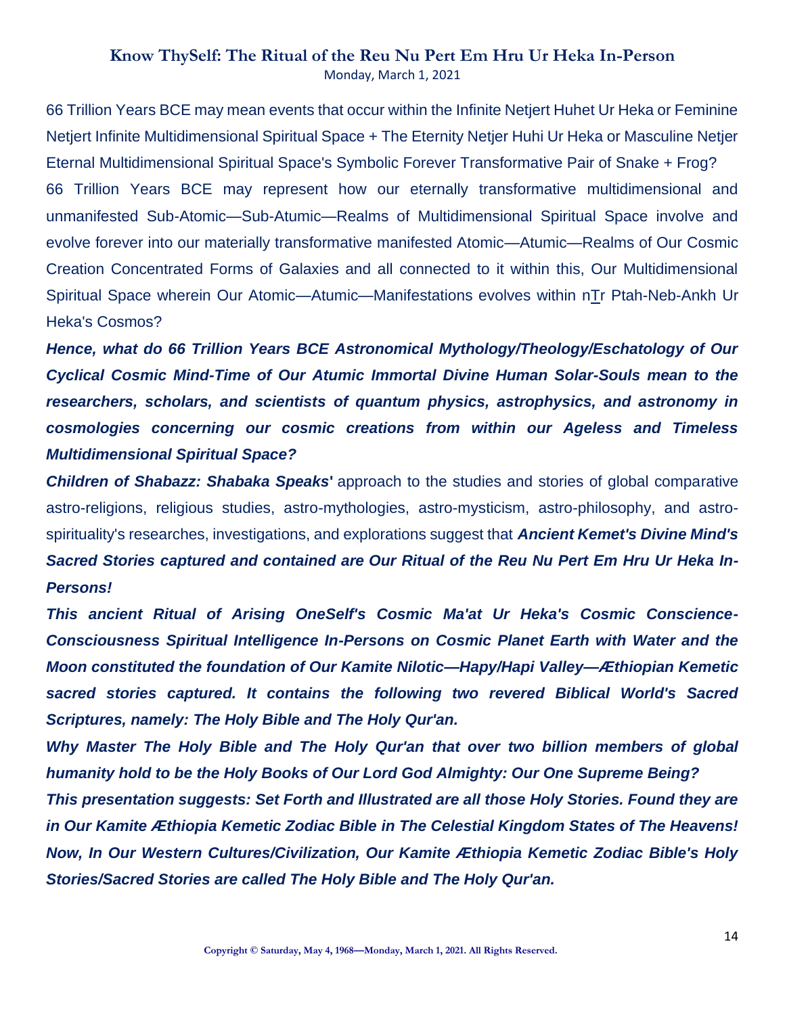66 Trillion Years BCE may mean events that occur within the Infinite Netjert Huhet Ur Heka or Feminine Netjert Infinite Multidimensional Spiritual Space + The Eternity Netjer Huhi Ur Heka or Masculine Netjer Eternal Multidimensional Spiritual Space's Symbolic Forever Transformative Pair of Snake + Frog? 66 Trillion Years BCE may represent how our eternally transformative multidimensional and unmanifested Sub-Atomic—Sub-Atumic—Realms of Multidimensional Spiritual Space involve and evolve forever into our materially transformative manifested Atomic—Atumic—Realms of Our Cosmic Creation Concentrated Forms of Galaxies and all connected to it within this, Our Multidimensional Spiritual Space wherein Our Atomic—Atumic—Manifestations evolves within nTr Ptah-Neb-Ankh Ur Heka's Cosmos?

*Hence, what do 66 Trillion Years BCE Astronomical Mythology/Theology/Eschatology of Our Cyclical Cosmic Mind-Time of Our Atumic Immortal Divine Human Solar-Souls mean to the researchers, scholars, and scientists of quantum physics, astrophysics, and astronomy in cosmologies concerning our cosmic creations from within our Ageless and Timeless Multidimensional Spiritual Space?*

*Children of Shabazz: Shabaka Speaks***'** approach to the studies and stories of global comparative astro-religions, religious studies, astro-mythologies, astro-mysticism, astro-philosophy, and astrospirituality's researches, investigations, and explorations suggest that *Ancient Kemet's Divine Mind's Sacred Stories captured and contained are Our Ritual of the Reu Nu Pert Em Hru Ur Heka In-Persons!*

*This ancient Ritual of Arising OneSelf's Cosmic Ma'at Ur Heka's Cosmic Conscience-Consciousness Spiritual Intelligence In-Persons on Cosmic Planet Earth with Water and the Moon constituted the foundation of Our Kamite Nilotic—Hapy/Hapi Valley—Æthiopian Kemetic sacred stories captured. It contains the following two revered Biblical World's Sacred Scriptures, namely: The Holy Bible and The Holy Qur'an.*

*Why Master The Holy Bible and The Holy Qur'an that over two billion members of global humanity hold to be the Holy Books of Our Lord God Almighty: Our One Supreme Being?*

*This presentation suggests: Set Forth and Illustrated are all those Holy Stories. Found they are in Our Kamite Æthiopia Kemetic Zodiac Bible in The Celestial Kingdom States of The Heavens! Now, In Our Western Cultures/Civilization, Our Kamite Æthiopia Kemetic Zodiac Bible's Holy Stories/Sacred Stories are called The Holy Bible and The Holy Qur'an.*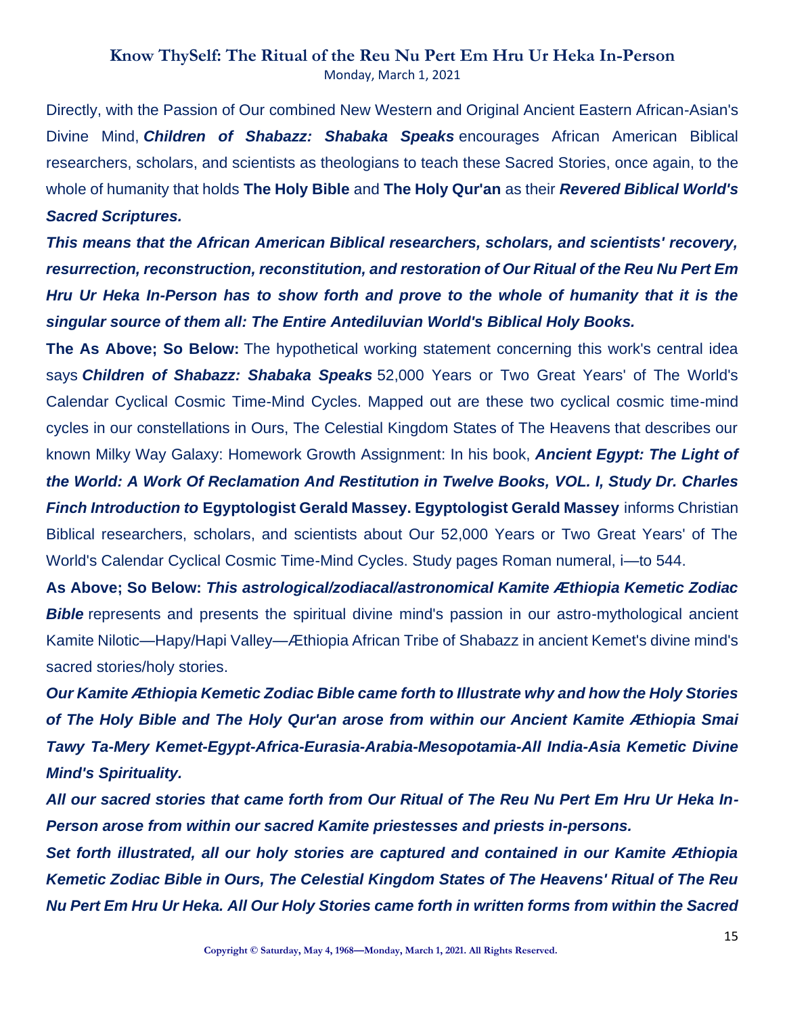Directly, with the Passion of Our combined New Western and Original Ancient Eastern African-Asian's Divine Mind, *Children of Shabazz: Shabaka Speaks* encourages African American Biblical researchers, scholars, and scientists as theologians to teach these Sacred Stories, once again, to the whole of humanity that holds **The Holy Bible** and **The Holy Qur'an** as their *Revered Biblical World's Sacred Scriptures.*

*This means that the African American Biblical researchers, scholars, and scientists' recovery, resurrection, reconstruction, reconstitution, and restoration of Our Ritual of the Reu Nu Pert Em Hru Ur Heka In-Person has to show forth and prove to the whole of humanity that it is the singular source of them all: The Entire Antediluvian World's Biblical Holy Books.*

**The As Above; So Below:** The hypothetical working statement concerning this work's central idea says *Children of Shabazz: Shabaka Speaks* 52,000 Years or Two Great Years' of The World's Calendar Cyclical Cosmic Time-Mind Cycles. Mapped out are these two cyclical cosmic time-mind cycles in our constellations in Ours, The Celestial Kingdom States of The Heavens that describes our known Milky Way Galaxy: Homework Growth Assignment: In his book, *Ancient Egypt: The Light of the World: A Work Of Reclamation And Restitution in Twelve Books, VOL. I, Study Dr. Charles Finch Introduction to* **Egyptologist Gerald Massey. Egyptologist Gerald Massey** informs Christian Biblical researchers, scholars, and scientists about Our 52,000 Years or Two Great Years' of The World's Calendar Cyclical Cosmic Time-Mind Cycles. Study pages Roman numeral, i—to 544.

**As Above; So Below:** *This astrological/zodiacal/astronomical Kamite Æthiopia Kemetic Zodiac*  **Bible** represents and presents the spiritual divine mind's passion in our astro-mythological ancient Kamite Nilotic—Hapy/Hapi Valley—Æthiopia African Tribe of Shabazz in ancient Kemet's divine mind's sacred stories/holy stories.

*Our Kamite Æthiopia Kemetic Zodiac Bible came forth to Illustrate why and how the Holy Stories of The Holy Bible and The Holy Qur'an arose from within our Ancient Kamite Æthiopia Smai Tawy Ta-Mery Kemet-Egypt-Africa-Eurasia-Arabia-Mesopotamia-All India-Asia Kemetic Divine Mind's Spirituality.*

*All our sacred stories that came forth from Our Ritual of The Reu Nu Pert Em Hru Ur Heka In-Person arose from within our sacred Kamite priestesses and priests in-persons.*

*Set forth illustrated, all our holy stories are captured and contained in our Kamite Æthiopia Kemetic Zodiac Bible in Ours, The Celestial Kingdom States of The Heavens' Ritual of The Reu Nu Pert Em Hru Ur Heka. All Our Holy Stories came forth in written forms from within the Sacred*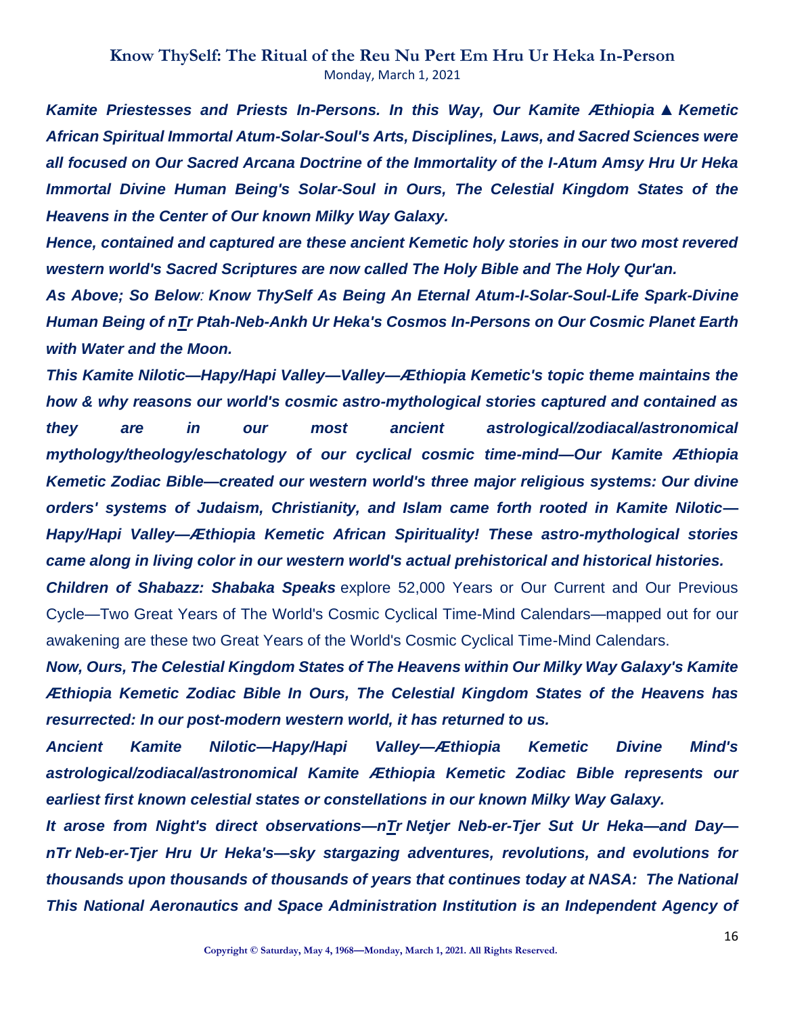*Kamite Priestesses and Priests In-Persons. In this Way, Our Kamite Æthiopia* ▲ *Kemetic African Spiritual Immortal Atum-Solar-Soul's Arts, Disciplines, Laws, and Sacred Sciences were all focused on Our Sacred Arcana Doctrine of the Immortality of the I-Atum Amsy Hru Ur Heka Immortal Divine Human Being's Solar-Soul in Ours, The Celestial Kingdom States of the Heavens in the Center of Our known Milky Way Galaxy.*

*Hence, contained and captured are these ancient Kemetic holy stories in our two most revered western world's Sacred Scriptures are now called The Holy Bible and The Holy Qur'an.*

*As Above; So Below: Know ThySelf As Being An Eternal Atum-I-Solar-Soul-Life Spark-Divine Human Being of nTr Ptah-Neb-Ankh Ur Heka's Cosmos In-Persons on Our Cosmic Planet Earth with Water and the Moon.*

*This Kamite Nilotic—Hapy/Hapi Valley—Valley—Æthiopia Kemetic's topic theme maintains the how & why reasons our world's cosmic astro-mythological stories captured and contained as they are in our most ancient astrological/zodiacal/astronomical mythology/theology/eschatology of our cyclical cosmic time-mind—Our Kamite Æthiopia Kemetic Zodiac Bible—created our western world's three major religious systems: Our divine orders' systems of Judaism, Christianity, and Islam came forth rooted in Kamite Nilotic— Hapy/Hapi Valley—Æthiopia Kemetic African Spirituality! These astro-mythological stories came along in living color in our western world's actual prehistorical and historical histories.*

*Children of Shabazz: Shabaka Speaks* explore 52,000 Years or Our Current and Our Previous Cycle—Two Great Years of The World's Cosmic Cyclical Time-Mind Calendars—mapped out for our awakening are these two Great Years of the World's Cosmic Cyclical Time-Mind Calendars.

*Now, Ours, The Celestial Kingdom States of The Heavens within Our Milky Way Galaxy's Kamite Æthiopia Kemetic Zodiac Bible In Ours, The Celestial Kingdom States of the Heavens has resurrected: In our post-modern western world, it has returned to us.*

*Ancient Kamite Nilotic—Hapy/Hapi Valley—Æthiopia Kemetic Divine Mind's astrological/zodiacal/astronomical Kamite Æthiopia Kemetic Zodiac Bible represents our earliest first known celestial states or constellations in our known Milky Way Galaxy.*

*It arose from Night's direct observations—nTr Netjer Neb-er-Tjer Sut Ur Heka—and Day nTr Neb-er-Tjer Hru Ur Heka's—sky stargazing adventures, revolutions, and evolutions for thousands upon thousands of thousands of years that continues today at NASA: The National This National Aeronautics and Space Administration Institution is an Independent Agency of*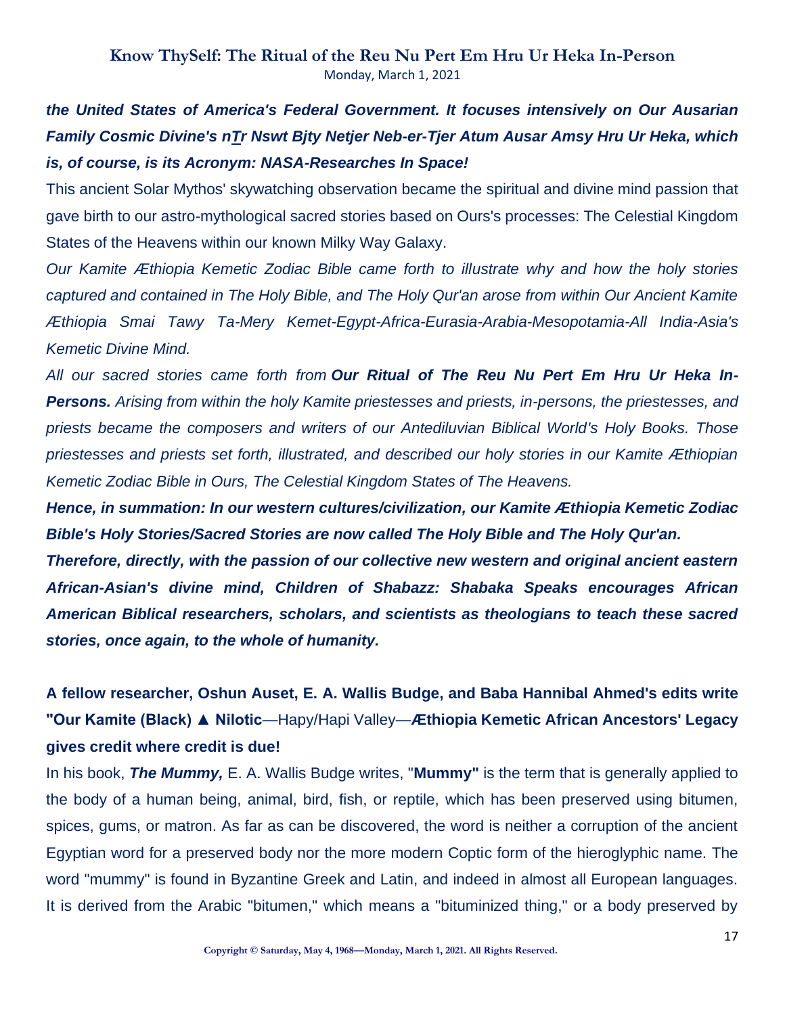## *the United States of America's Federal Government. It focuses intensively on Our Ausarian Family Cosmic Divine's nTr Nswt Bjty Netjer Neb-er-Tjer Atum Ausar Amsy Hru Ur Heka, which is, of course, is its Acronym: NASA-Researches In Space!*

This ancient Solar Mythos' skywatching observation became the spiritual and divine mind passion that gave birth to our astro-mythological sacred stories based on Ours's processes: The Celestial Kingdom States of the Heavens within our known Milky Way Galaxy.

*Our Kamite Æthiopia Kemetic Zodiac Bible came forth to illustrate why and how the holy stories captured and contained in The Holy Bible, and The Holy Qur'an arose from within Our Ancient Kamite Æthiopia Smai Tawy Ta-Mery Kemet-Egypt-Africa-Eurasia-Arabia-Mesopotamia-All India-Asia's Kemetic Divine Mind.*

*All our sacred stories came forth from Our Ritual of The Reu Nu Pert Em Hru Ur Heka In-Persons. Arising from within the holy Kamite priestesses and priests, in-persons, the priestesses, and priests became the composers and writers of our Antediluvian Biblical World's Holy Books. Those priestesses and priests set forth, illustrated, and described our holy stories in our Kamite Æthiopian Kemetic Zodiac Bible in Ours, The Celestial Kingdom States of The Heavens.*

*Hence, in summation: In our western cultures/civilization, our Kamite Æthiopia Kemetic Zodiac Bible's Holy Stories/Sacred Stories are now called The Holy Bible and The Holy Qur'an.*

*Therefore, directly, with the passion of our collective new western and original ancient eastern African-Asian's divine mind, Children of Shabazz: Shabaka Speaks encourages African American Biblical researchers, scholars, and scientists as theologians to teach these sacred stories, once again, to the whole of humanity.*

# **A fellow researcher, Oshun Auset, E. A. Wallis Budge, and Baba Hannibal Ahmed's edits write "Our Kamite (Black) ▲ Nilotic**—Hapy/Hapi Valley—**Æthiopia Kemetic African Ancestors' Legacy gives credit where credit is due!**

In his book, *The Mummy,* E. A. Wallis Budge writes, "**Mummy"** is the term that is generally applied to the body of a human being, animal, bird, fish, or reptile, which has been preserved using bitumen, spices, gums, or matron. As far as can be discovered, the word is neither a corruption of the ancient Egyptian word for a preserved body nor the more modern Coptic form of the hieroglyphic name. The word "mummy" is found in Byzantine Greek and Latin, and indeed in almost all European languages. It is derived from the Arabic "bitumen," which means a "bituminized thing," or a body preserved by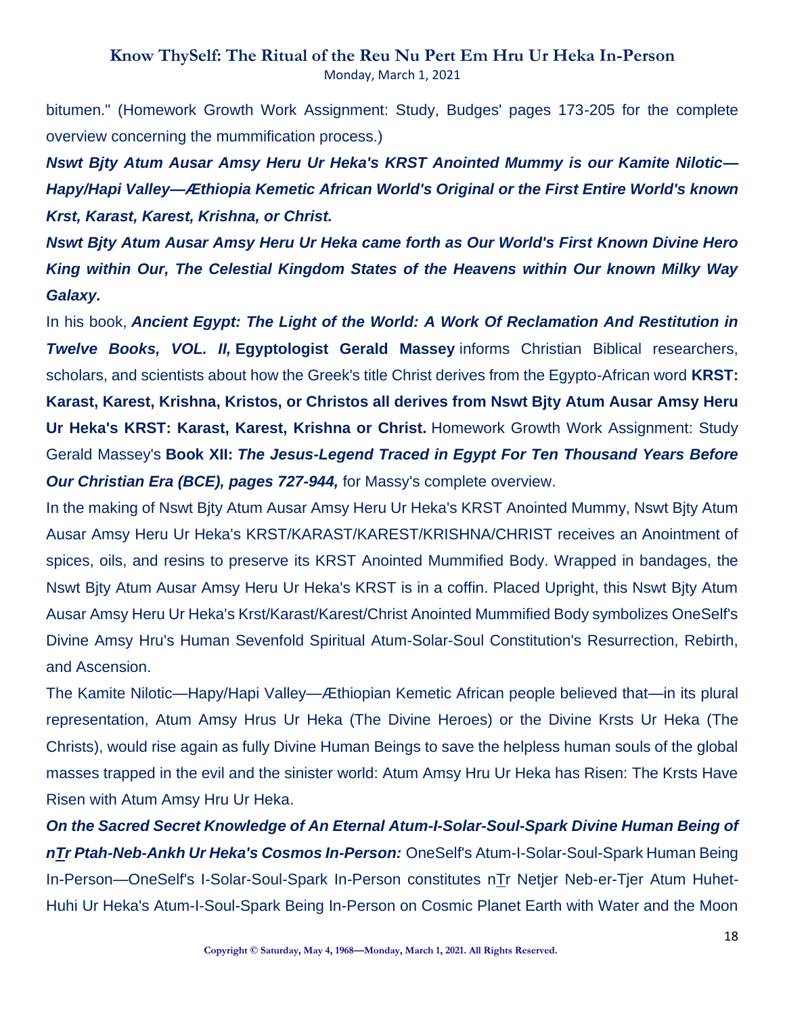bitumen." (Homework Growth Work Assignment: Study, Budges' pages 173-205 for the complete overview concerning the mummification process.)

*Nswt Bjty Atum Ausar Amsy Heru Ur Heka's KRST Anointed Mummy is our Kamite Nilotic— Hapy/Hapi Valley—Æthiopia Kemetic African World's Original or the First Entire World's known Krst, Karast, Karest, Krishna, or Christ.*

*Nswt Bjty Atum Ausar Amsy Heru Ur Heka came forth as Our World's First Known Divine Hero King within Our, The Celestial Kingdom States of the Heavens within Our known Milky Way Galaxy.*

In his book, *Ancient Egypt: The Light of the World: A Work Of Reclamation And Restitution in Twelve Books, VOL. II,* **Egyptologist Gerald Massey** informs Christian Biblical researchers, scholars, and scientists about how the Greek's title Christ derives from the Egypto-African word **KRST: Karast, Karest, Krishna, Kristos, or Christos all derives from Nswt Bjty Atum Ausar Amsy Heru Ur Heka's KRST: Karast, Karest, Krishna or Christ.** Homework Growth Work Assignment: Study Gerald Massey's **Book XII:** *The Jesus-Legend Traced in Egypt For Ten Thousand Years Before Our Christian Era (BCE), pages 727-944,* for Massy's complete overview.

In the making of Nswt Bjty Atum Ausar Amsy Heru Ur Heka's KRST Anointed Mummy, Nswt Bjty Atum Ausar Amsy Heru Ur Heka's KRST/KARAST/KAREST/KRISHNA/CHRIST receives an Anointment of spices, oils, and resins to preserve its KRST Anointed Mummified Body. Wrapped in bandages, the Nswt Bjty Atum Ausar Amsy Heru Ur Heka's KRST is in a coffin. Placed Upright, this Nswt Bjty Atum Ausar Amsy Heru Ur Heka's Krst/Karast/Karest/Christ Anointed Mummified Body symbolizes OneSelf's Divine Amsy Hru's Human Sevenfold Spiritual Atum-Solar-Soul Constitution's Resurrection, Rebirth, and Ascension.

The Kamite Nilotic—Hapy/Hapi Valley—Æthiopian Kemetic African people believed that—in its plural representation, Atum Amsy Hrus Ur Heka (The Divine Heroes) or the Divine Krsts Ur Heka (The Christs), would rise again as fully Divine Human Beings to save the helpless human souls of the global masses trapped in the evil and the sinister world: Atum Amsy Hru Ur Heka has Risen: The Krsts Have Risen with Atum Amsy Hru Ur Heka.

*On the Sacred Secret Knowledge of An Eternal Atum-I-Solar-Soul-Spark Divine Human Being of nTr Ptah-Neb-Ankh Ur Heka's Cosmos In-Person:* OneSelf's Atum-I-Solar-Soul-Spark Human Being In-Person—OneSelf's I-Solar-Soul-Spark In-Person constitutes nTr Netjer Neb-er-Tjer Atum Huhet-Huhi Ur Heka's Atum-I-Soul-Spark Being In-Person on Cosmic Planet Earth with Water and the Moon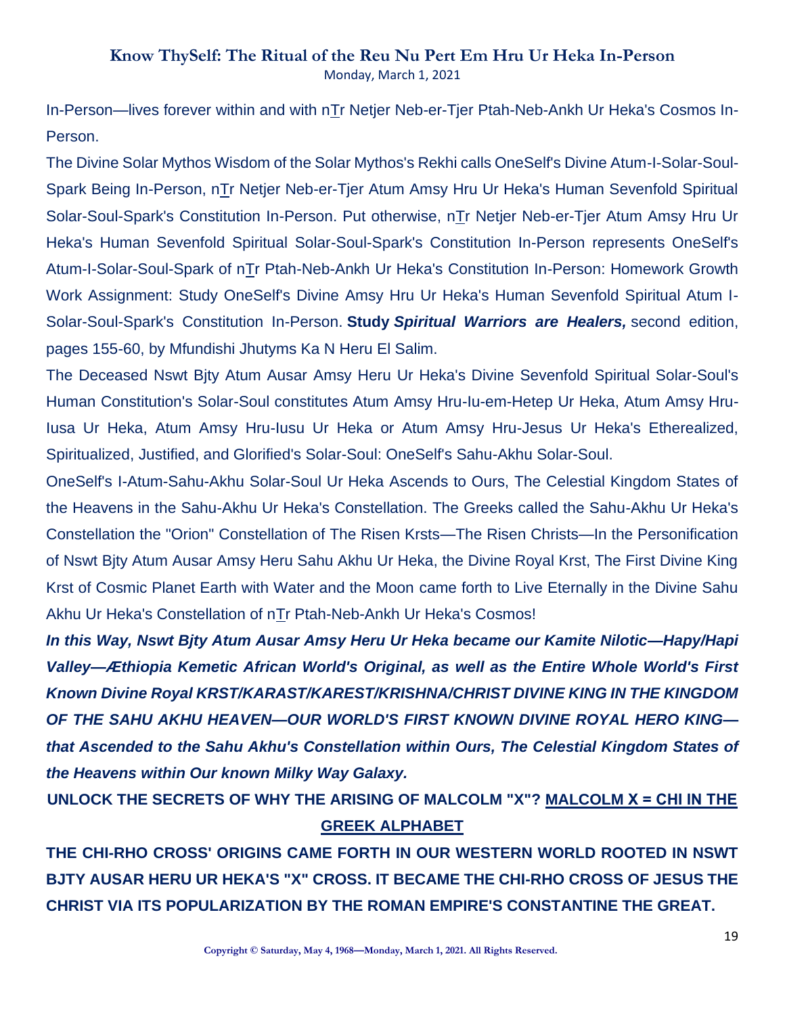In-Person—lives forever within and with nTr Netjer Neb-er-Tjer Ptah-Neb-Ankh Ur Heka's Cosmos In-Person.

The Divine Solar Mythos Wisdom of the Solar Mythos's Rekhi calls OneSelf's Divine Atum-I-Solar-Soul-Spark Being In-Person, nTr Netjer Neb-er-Tjer Atum Amsy Hru Ur Heka's Human Sevenfold Spiritual Solar-Soul-Spark's Constitution In-Person. Put otherwise, nTr Netjer Neb-er-Tjer Atum Amsy Hru Ur Heka's Human Sevenfold Spiritual Solar-Soul-Spark's Constitution In-Person represents OneSelf's Atum-I-Solar-Soul-Spark of nTr Ptah-Neb-Ankh Ur Heka's Constitution In-Person: Homework Growth Work Assignment: Study OneSelf's Divine Amsy Hru Ur Heka's Human Sevenfold Spiritual Atum I-Solar-Soul-Spark's Constitution In-Person. **Study** *Spiritual Warriors are Healers,* second edition, pages 155-60, by Mfundishi Jhutyms Ka N Heru El Salim.

The Deceased Nswt Bjty Atum Ausar Amsy Heru Ur Heka's Divine Sevenfold Spiritual Solar-Soul's Human Constitution's Solar-Soul constitutes Atum Amsy Hru-Iu-em-Hetep Ur Heka, Atum Amsy Hru-Iusa Ur Heka, Atum Amsy Hru-Iusu Ur Heka or Atum Amsy Hru-Jesus Ur Heka's Etherealized, Spiritualized, Justified, and Glorified's Solar-Soul: OneSelf's Sahu-Akhu Solar-Soul.

OneSelf's I-Atum-Sahu-Akhu Solar-Soul Ur Heka Ascends to Ours, The Celestial Kingdom States of the Heavens in the Sahu-Akhu Ur Heka's Constellation. The Greeks called the Sahu-Akhu Ur Heka's Constellation the "Orion" Constellation of The Risen Krsts—The Risen Christs—In the Personification of Nswt Bjty Atum Ausar Amsy Heru Sahu Akhu Ur Heka, the Divine Royal Krst, The First Divine King Krst of Cosmic Planet Earth with Water and the Moon came forth to Live Eternally in the Divine Sahu Akhu Ur Heka's Constellation of nTr Ptah-Neb-Ankh Ur Heka's Cosmos!

*In this Way, Nswt Bjty Atum Ausar Amsy Heru Ur Heka became our Kamite Nilotic—Hapy/Hapi Valley—Æthiopia Kemetic African World's Original, as well as the Entire Whole World's First Known Divine Royal KRST/KARAST/KAREST/KRISHNA/CHRIST DIVINE KING IN THE KINGDOM OF THE SAHU AKHU HEAVEN—OUR WORLD'S FIRST KNOWN DIVINE ROYAL HERO KING that Ascended to the Sahu Akhu's Constellation within Ours, The Celestial Kingdom States of the Heavens within Our known Milky Way Galaxy.*

**UNLOCK THE SECRETS OF WHY THE ARISING OF MALCOLM "X"? MALCOLM [Χ = CHI IN THE](http://www.greekalphabeta.com/learn-about-chi-chi-600.html)  [GREEK ALPHABET](http://www.greekalphabeta.com/learn-about-chi-chi-600.html)**

**THE CHI-RHO CROSS' ORIGINS CAME FORTH IN OUR WESTERN WORLD ROOTED IN NSWT BJTY AUSAR HERU UR HEKA'S "X" CROSS. IT BECAME THE CHI-RHO CROSS OF JESUS THE CHRIST VIA ITS POPULARIZATION BY THE ROMAN EMPIRE'S CONSTANTINE THE GREAT.**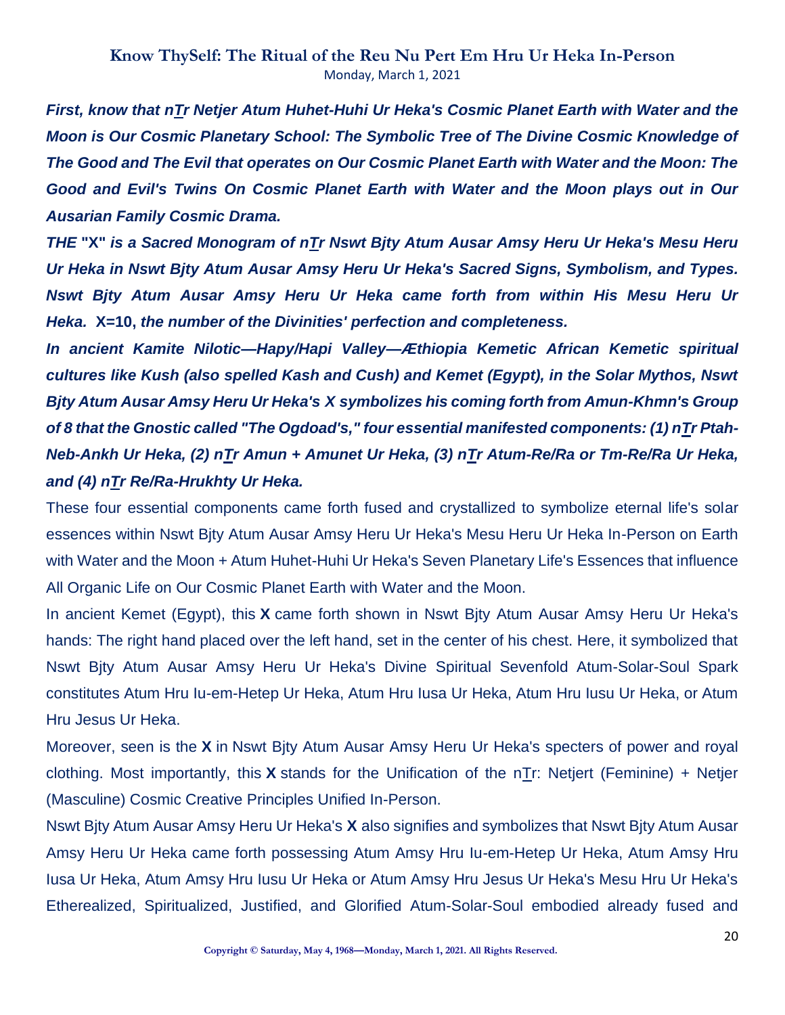*First, know that nTr Netjer Atum Huhet-Huhi Ur Heka's Cosmic Planet Earth with Water and the Moon is Our Cosmic Planetary School: The Symbolic Tree of The Divine Cosmic Knowledge of The Good and The Evil that operates on Our Cosmic Planet Earth with Water and the Moon: The Good and Evil's Twins On Cosmic Planet Earth with Water and the Moon plays out in Our Ausarian Family Cosmic Drama.*

*THE* **"X"** *is a Sacred Monogram of nTr Nswt Bjty Atum Ausar Amsy Heru Ur Heka's Mesu Heru Ur Heka in Nswt Bjty Atum Ausar Amsy Heru Ur Heka's Sacred Signs, Symbolism, and Types. Nswt Bjty Atum Ausar Amsy Heru Ur Heka came forth from within His Mesu Heru Ur Heka.* **X=10,** *the number of the Divinities' perfection and completeness.*

*In ancient Kamite Nilotic—Hapy/Hapi Valley—Æthiopia Kemetic African Kemetic spiritual cultures like Kush (also spelled Kash and Cush) and Kemet (Egypt), in the Solar Mythos, Nswt Bjty Atum Ausar Amsy Heru Ur Heka's X symbolizes his coming forth from Amun-Khmn's Group of 8 that the Gnostic called "The Ogdoad's," four essential manifested components: (1) nTr Ptah-Neb-Ankh Ur Heka, (2) nTr Amun + Amunet Ur Heka, (3) nTr Atum-Re/Ra or Tm-Re/Ra Ur Heka, and (4) nTr Re/Ra-Hrukhty Ur Heka.*

These four essential components came forth fused and crystallized to symbolize eternal life's solar essences within Nswt Bjty Atum Ausar Amsy Heru Ur Heka's Mesu Heru Ur Heka In-Person on Earth with Water and the Moon + Atum Huhet-Huhi Ur Heka's Seven Planetary Life's Essences that influence All Organic Life on Our Cosmic Planet Earth with Water and the Moon.

In ancient Kemet (Egypt), this **X** came forth shown in Nswt Bjty Atum Ausar Amsy Heru Ur Heka's hands: The right hand placed over the left hand, set in the center of his chest. Here, it symbolized that Nswt Bjty Atum Ausar Amsy Heru Ur Heka's Divine Spiritual Sevenfold Atum-Solar-Soul Spark constitutes Atum Hru Iu-em-Hetep Ur Heka, Atum Hru Iusa Ur Heka, Atum Hru Iusu Ur Heka, or Atum Hru Jesus Ur Heka.

Moreover, seen is the **X** in Nswt Bjty Atum Ausar Amsy Heru Ur Heka's specters of power and royal clothing. Most importantly, this **X** stands for the Unification of the nTr: Netjert (Feminine) + Netjer (Masculine) Cosmic Creative Principles Unified In-Person.

Nswt Bjty Atum Ausar Amsy Heru Ur Heka's **X** also signifies and symbolizes that Nswt Bjty Atum Ausar Amsy Heru Ur Heka came forth possessing Atum Amsy Hru Iu-em-Hetep Ur Heka, Atum Amsy Hru Iusa Ur Heka, Atum Amsy Hru Iusu Ur Heka or Atum Amsy Hru Jesus Ur Heka's Mesu Hru Ur Heka's Etherealized, Spiritualized, Justified, and Glorified Atum-Solar-Soul embodied already fused and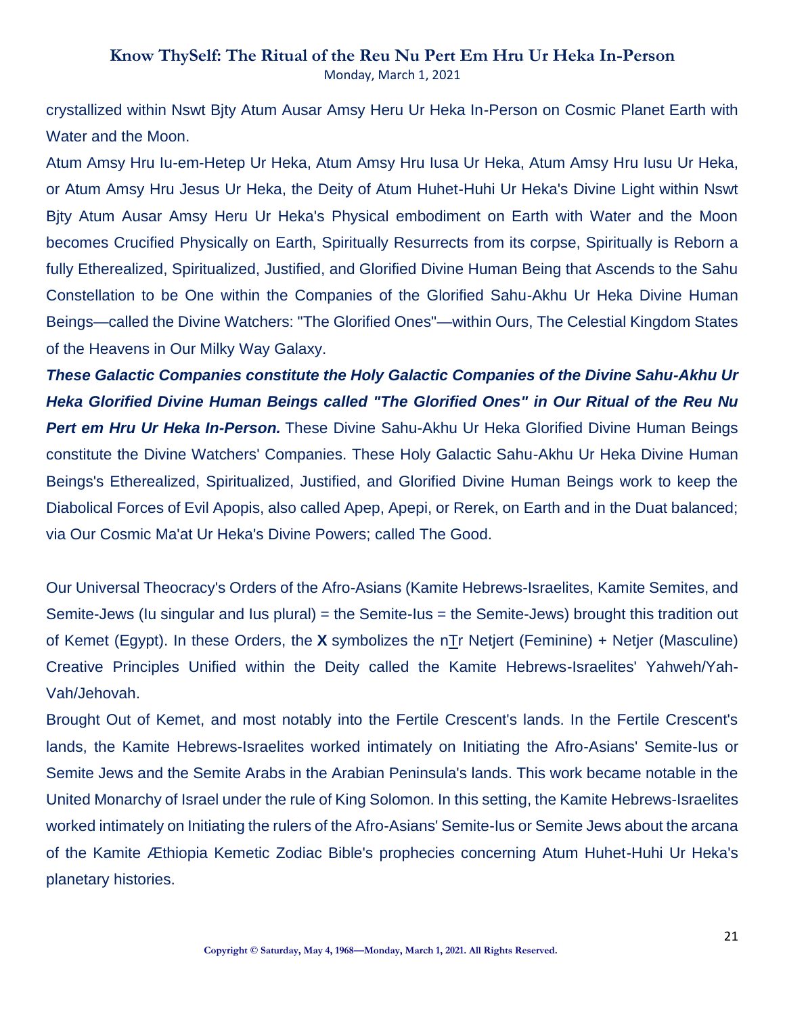crystallized within Nswt Bjty Atum Ausar Amsy Heru Ur Heka In-Person on Cosmic Planet Earth with Water and the Moon.

Atum Amsy Hru Iu-em-Hetep Ur Heka, Atum Amsy Hru Iusa Ur Heka, Atum Amsy Hru Iusu Ur Heka, or Atum Amsy Hru Jesus Ur Heka, the Deity of Atum Huhet-Huhi Ur Heka's Divine Light within Nswt Bjty Atum Ausar Amsy Heru Ur Heka's Physical embodiment on Earth with Water and the Moon becomes Crucified Physically on Earth, Spiritually Resurrects from its corpse, Spiritually is Reborn a fully Etherealized, Spiritualized, Justified, and Glorified Divine Human Being that Ascends to the Sahu Constellation to be One within the Companies of the Glorified Sahu-Akhu Ur Heka Divine Human Beings—called the Divine Watchers: "The Glorified Ones"—within Ours, The Celestial Kingdom States of the Heavens in Our Milky Way Galaxy.

*These Galactic Companies constitute the Holy Galactic Companies of the Divine Sahu-Akhu Ur Heka Glorified Divine Human Beings called "The Glorified Ones" in Our Ritual of the Reu Nu Pert em Hru Ur Heka In-Person.* These Divine Sahu-Akhu Ur Heka Glorified Divine Human Beings constitute the Divine Watchers' Companies. These Holy Galactic Sahu-Akhu Ur Heka Divine Human Beings's Etherealized, Spiritualized, Justified, and Glorified Divine Human Beings work to keep the Diabolical Forces of Evil Apopis, also called Apep, Apepi, or Rerek, on Earth and in the Duat balanced; via Our Cosmic Ma'at Ur Heka's Divine Powers; called The Good.

Our Universal Theocracy's Orders of the Afro-Asians (Kamite Hebrews-Israelites, Kamite Semites, and Semite-Jews (Iu singular and Ius plural) = the Semite-Ius = the Semite-Jews) brought this tradition out of Kemet (Egypt). In these Orders, the **X** symbolizes the nTr Netjert (Feminine) + Netjer (Masculine) Creative Principles Unified within the Deity called the Kamite Hebrews-Israelites' Yahweh/Yah-Vah/Jehovah.

Brought Out of Kemet, and most notably into the Fertile Crescent's lands. In the Fertile Crescent's lands, the Kamite Hebrews-Israelites worked intimately on Initiating the Afro-Asians' Semite-Ius or Semite Jews and the Semite Arabs in the Arabian Peninsula's lands. This work became notable in the United Monarchy of Israel under the rule of King Solomon. In this setting, the Kamite Hebrews-Israelites worked intimately on Initiating the rulers of the Afro-Asians' Semite-Ius or Semite Jews about the arcana of the Kamite Æthiopia Kemetic Zodiac Bible's prophecies concerning Atum Huhet-Huhi Ur Heka's planetary histories.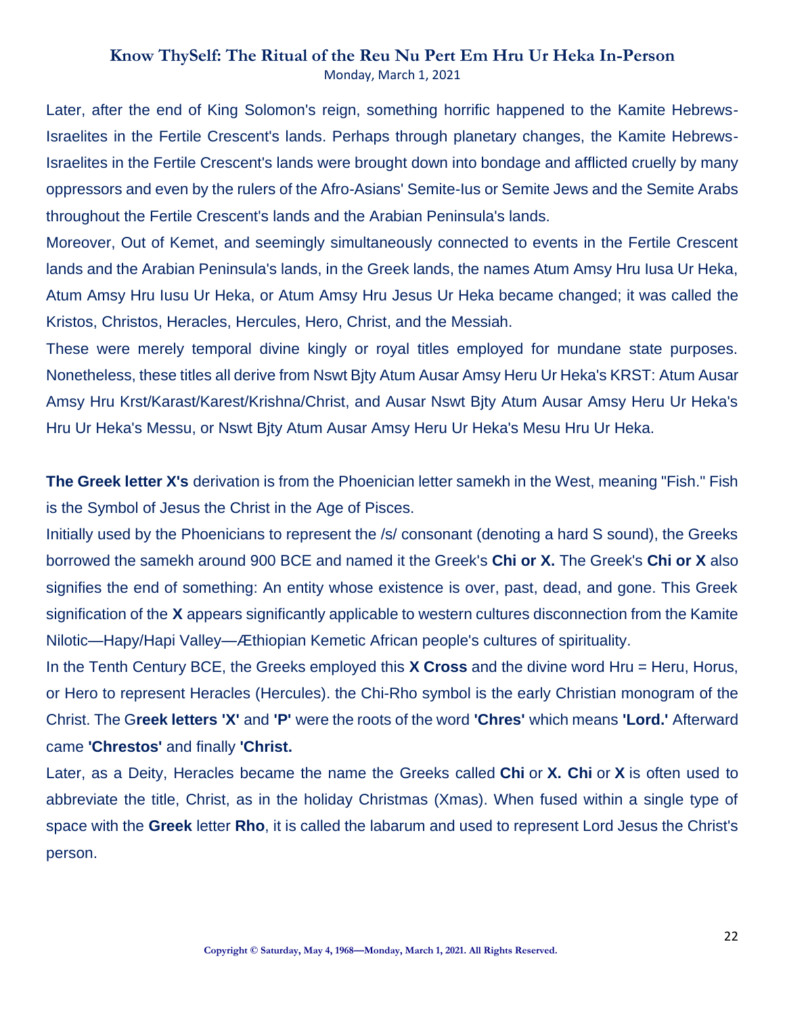Later, after the end of King Solomon's reign, something horrific happened to the Kamite Hebrews-Israelites in the Fertile Crescent's lands. Perhaps through planetary changes, the Kamite Hebrews-Israelites in the Fertile Crescent's lands were brought down into bondage and afflicted cruelly by many oppressors and even by the rulers of the Afro-Asians' Semite-Ius or Semite Jews and the Semite Arabs throughout the Fertile Crescent's lands and the Arabian Peninsula's lands.

Moreover, Out of Kemet, and seemingly simultaneously connected to events in the Fertile Crescent lands and the Arabian Peninsula's lands, in the Greek lands, the names Atum Amsy Hru Iusa Ur Heka, Atum Amsy Hru Iusu Ur Heka, or Atum Amsy Hru Jesus Ur Heka became changed; it was called the Kristos, Christos, Heracles, Hercules, Hero, Christ, and the Messiah.

These were merely temporal divine kingly or royal titles employed for mundane state purposes. Nonetheless, these titles all derive from Nswt Bjty Atum Ausar Amsy Heru Ur Heka's KRST: Atum Ausar Amsy Hru Krst/Karast/Karest/Krishna/Christ, and Ausar Nswt Bjty Atum Ausar Amsy Heru Ur Heka's Hru Ur Heka's Messu, or Nswt Bjty Atum Ausar Amsy Heru Ur Heka's Mesu Hru Ur Heka.

**The Greek letter X's** derivation is from the Phoenician letter samekh in the West, meaning "Fish." Fish is the Symbol of Jesus the Christ in the Age of Pisces.

Initially used by the Phoenicians to represent the /s/ consonant (denoting a hard S sound), the Greeks borrowed the samekh around 900 BCE and named it the Greek's **Chi or X.** The Greek's **Chi or X** also signifies the end of something: An entity whose existence is over, past, dead, and gone. This Greek signification of the **X** appears significantly applicable to western cultures disconnection from the Kamite Nilotic—Hapy/Hapi Valley—Æthiopian Kemetic African people's cultures of spirituality.

In the Tenth Century BCE, the Greeks employed this **X Cross** and the divine word Hru = Heru, Horus, or Hero to represent Heracles (Hercules). the Chi-Rho symbol is the early Christian monogram of the Christ. The G**reek letters 'X'** and **'P'** were the roots of the word **'Chres'** which means **'Lord.'** Afterward came **'Chrestos'** and finally **'Christ.**

Later, as a Deity, Heracles became the name the Greeks called **Chi** or **X. Chi** or **X** is often used to abbreviate the title, Christ, as in the holiday Christmas (Xmas). When fused within a single type of space with the **Greek** letter **Rho**, it is called the labarum and used to represent Lord Jesus the Christ's person.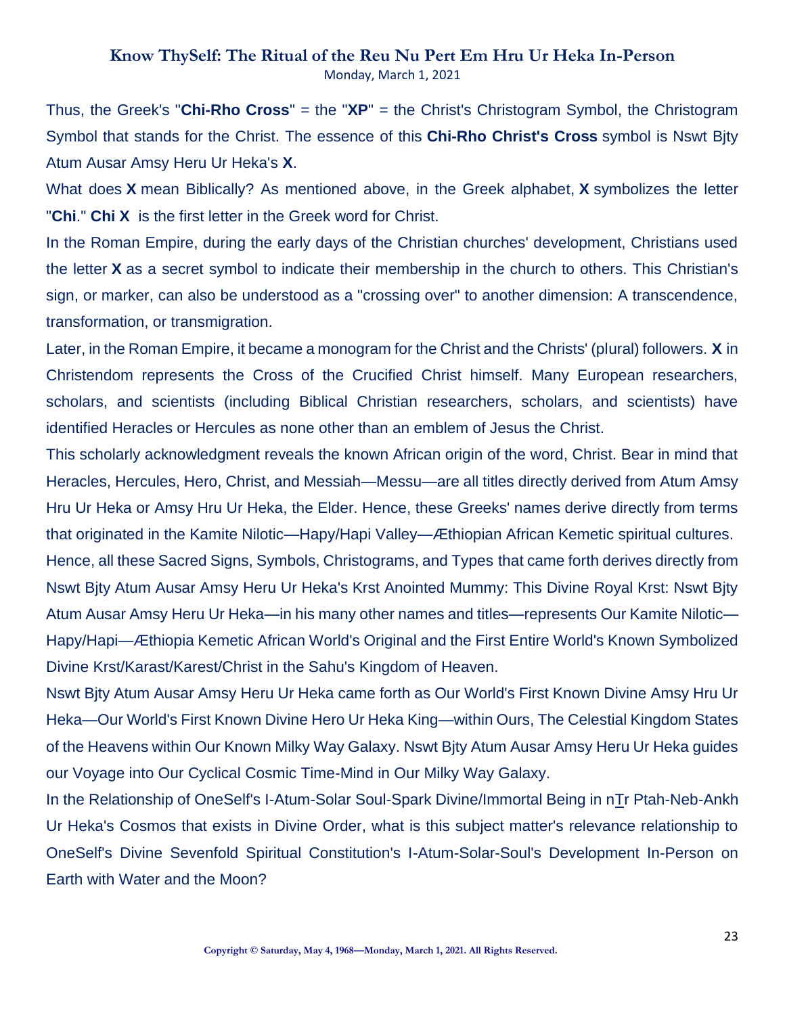Thus, the Greek's "**Chi-Rho Cross**" = the "**XP**" = the Christ's Christogram Symbol, the Christogram Symbol that stands for the Christ. The essence of this **Chi-Rho Christ's Cross** symbol is Nswt Bjty Atum Ausar Amsy Heru Ur Heka's **X**.

What does **X** mean Biblically? As mentioned above, in the Greek alphabet, **X** symbolizes the letter "**Chi**." **Chi X** is the first letter in the Greek word for Christ.

In the Roman Empire, during the early days of the Christian churches' development, Christians used the letter **X** as a secret symbol to indicate their membership in the church to others. This Christian's sign, or marker, can also be understood as a "crossing over" to another dimension: A transcendence, transformation, or transmigration.

Later, in the Roman Empire, it became a monogram for the Christ and the Christs' (plural) followers. **X** in Christendom represents the Cross of the Crucified Christ himself. Many European researchers, scholars, and scientists (including Biblical Christian researchers, scholars, and scientists) have identified Heracles or Hercules as none other than an emblem of Jesus the Christ.

This scholarly acknowledgment reveals the known African origin of the word, Christ. Bear in mind that Heracles, Hercules, Hero, Christ, and Messiah—Messu—are all titles directly derived from Atum Amsy Hru Ur Heka or Amsy Hru Ur Heka, the Elder. Hence, these Greeks' names derive directly from terms that originated in the Kamite Nilotic—Hapy/Hapi Valley—Æthiopian African Kemetic spiritual cultures. Hence, all these Sacred Signs, Symbols, Christograms, and Types that came forth derives directly from Nswt Bjty Atum Ausar Amsy Heru Ur Heka's Krst Anointed Mummy: This Divine Royal Krst: Nswt Bjty

Atum Ausar Amsy Heru Ur Heka—in his many other names and titles—represents Our Kamite Nilotic— Hapy/Hapi—Æthiopia Kemetic African World's Original and the First Entire World's Known Symbolized Divine Krst/Karast/Karest/Christ in the Sahu's Kingdom of Heaven.

Nswt Bjty Atum Ausar Amsy Heru Ur Heka came forth as Our World's First Known Divine Amsy Hru Ur Heka—Our World's First Known Divine Hero Ur Heka King—within Ours, The Celestial Kingdom States of the Heavens within Our Known Milky Way Galaxy. Nswt Bjty Atum Ausar Amsy Heru Ur Heka guides our Voyage into Our Cyclical Cosmic Time-Mind in Our Milky Way Galaxy.

In the Relationship of OneSelf's I-Atum-Solar Soul-Spark Divine/Immortal Being in nTr Ptah-Neb-Ankh Ur Heka's Cosmos that exists in Divine Order, what is this subject matter's relevance relationship to OneSelf's Divine Sevenfold Spiritual Constitution's I-Atum-Solar-Soul's Development In-Person on Earth with Water and the Moon?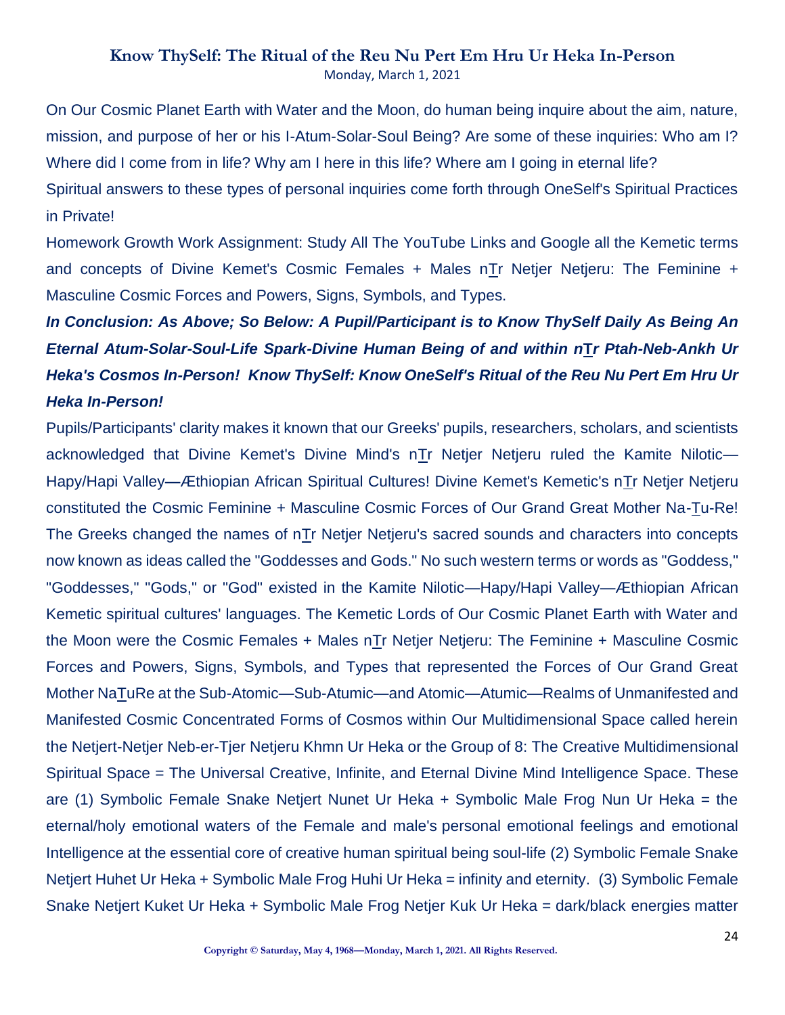On Our Cosmic Planet Earth with Water and the Moon, do human being inquire about the aim, nature, mission, and purpose of her or his I-Atum-Solar-Soul Being? Are some of these inquiries: Who am I? Where did I come from in life? Why am I here in this life? Where am I going in eternal life?

Spiritual answers to these types of personal inquiries come forth through OneSelf's Spiritual Practices in Private!

Homework Growth Work Assignment: Study All The YouTube Links and Google all the Kemetic terms and concepts of Divine Kemet's Cosmic Females + Males nTr Netjer Netjeru: The Feminine + Masculine Cosmic Forces and Powers, Signs, Symbols, and Types.

# *In Conclusion: As Above; So Below: A Pupil/Participant is to Know ThySelf Daily As Being An Eternal Atum-Solar-Soul-Life Spark-Divine Human Being of and within n***T***r Ptah-Neb-Ankh Ur Heka's Cosmos In-Person! Know ThySelf: Know OneSelf's Ritual of the Reu Nu Pert Em Hru Ur Heka In-Person!*

Pupils/Participants' clarity makes it known that our Greeks' pupils, researchers, scholars, and scientists acknowledged that Divine Kemet's Divine Mind's nTr Netjer Netjeru ruled the Kamite Nilotic— Hapy/Hapi Valley**—**Æthiopian African Spiritual Cultures! Divine Kemet's Kemetic's nTr Netjer Netjeru constituted the Cosmic Feminine + Masculine Cosmic Forces of Our Grand Great Mother Na-Tu-Re! The Greeks changed the names of nTr Netjer Netjeru's sacred sounds and characters into concepts now known as ideas called the "Goddesses and Gods." No such western terms or words as "Goddess," "Goddesses," "Gods," or "God" existed in the Kamite Nilotic—Hapy/Hapi Valley—Æthiopian African Kemetic spiritual cultures' languages. The Kemetic Lords of Our Cosmic Planet Earth with Water and the Moon were the Cosmic Females + Males n $Tr$  Netjer Netjeru: The Feminine + Masculine Cosmic Forces and Powers, Signs, Symbols, and Types that represented the Forces of Our Grand Great Mother NaTuRe at the Sub-Atomic—Sub-Atumic—and Atomic—Atumic—Realms of Unmanifested and Manifested Cosmic Concentrated Forms of Cosmos within Our Multidimensional Space called herein the Netjert-Netjer Neb-er-Tjer Netjeru Khmn Ur Heka or the Group of 8: The Creative Multidimensional Spiritual Space = The Universal Creative, Infinite, and Eternal Divine Mind Intelligence Space. These are (1) Symbolic Female Snake Netjert Nunet Ur Heka + Symbolic Male Frog Nun Ur Heka = the eternal/holy emotional waters of the Female and male's personal emotional feelings and emotional Intelligence at the essential core of creative human spiritual being soul-life (2) Symbolic Female Snake Netjert Huhet Ur Heka + Symbolic Male Frog Huhi Ur Heka = infinity and eternity. (3) Symbolic Female Snake Netjert Kuket Ur Heka + Symbolic Male Frog Netjer Kuk Ur Heka = dark/black energies matter